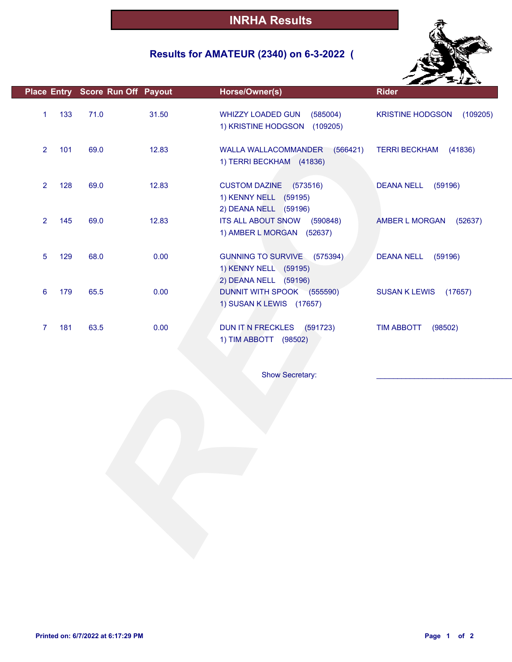## **Results for AMATEUR (2340) on 6-3-2022 (**



|                |     | Place Entry Score Run Off Payout |       | Horse/Owner(s)                                                                  | <b>Rider</b>                        |
|----------------|-----|----------------------------------|-------|---------------------------------------------------------------------------------|-------------------------------------|
| $\mathbf{1}$   | 133 | 71.0                             | 31.50 | WHIZZY LOADED GUN<br>(585004)<br>1) KRISTINE HODGSON (109205)                   | <b>KRISTINE HODGSON</b><br>(109205) |
| $\overline{2}$ | 101 | 69.0                             | 12.83 | WALLA WALLACOMMANDER<br>(566421)<br>1) TERRI BECKHAM (41836)                    | <b>TERRI BECKHAM</b><br>(41836)     |
| $\overline{2}$ | 128 | 69.0                             | 12.83 | CUSTOM DAZINE (573516)<br>1) KENNY NELL (59195)<br>2) DEANA NELL (59196)        | (59196)<br><b>DEANA NELL</b>        |
| $\overline{2}$ | 145 | 69.0                             | 12.83 | <b>ITS ALL ABOUT SNOW</b><br>(590848)<br>1) AMBER L MORGAN (52637)              | AMBER L MORGAN<br>(52637)           |
| 5              | 129 | 68.0                             | 0.00  | GUNNING TO SURVIVE (575394)<br>1) KENNY NELL (59195)                            | <b>DEANA NELL</b><br>(59196)        |
| 6              | 179 | 65.5                             | 0.00  | 2) DEANA NELL (59196)<br>DUNNIT WITH SPOOK (555590)<br>1) SUSAN K LEWIS (17657) | <b>SUSAN K LEWIS</b><br>(17657)     |
| 7              | 181 | 63.5                             | 0.00  | DUN IT N FRECKLES<br>(591723)<br>1) TIM ABBOTT (98502)                          | <b>TIM ABBOTT</b><br>(98502)        |
|                |     |                                  |       | Show Secretary:                                                                 |                                     |
|                |     |                                  |       |                                                                                 |                                     |
|                |     |                                  |       |                                                                                 |                                     |
|                |     |                                  |       |                                                                                 |                                     |
|                |     |                                  |       |                                                                                 |                                     |
|                |     |                                  |       |                                                                                 |                                     |
|                |     |                                  |       |                                                                                 |                                     |
|                |     |                                  |       |                                                                                 |                                     |
|                |     |                                  |       |                                                                                 |                                     |
|                |     |                                  |       |                                                                                 |                                     |
|                |     |                                  |       |                                                                                 |                                     |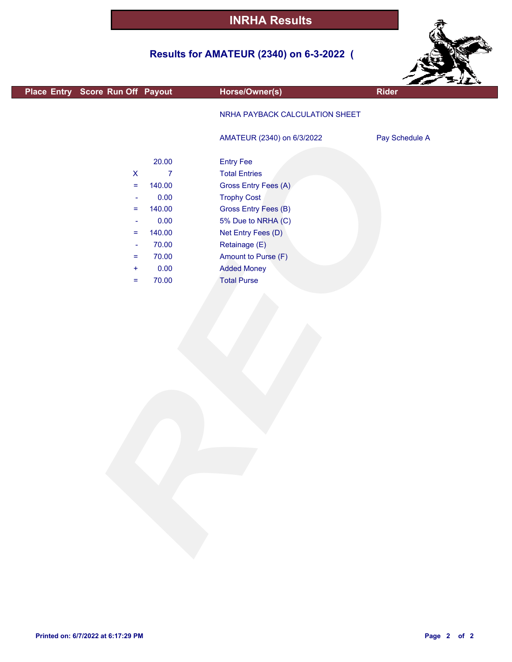## **Results for AMATEUR (2340) on 6-3-2022 (**



|                                  |                |                                |                | $z = 11$ |
|----------------------------------|----------------|--------------------------------|----------------|----------|
| Place Entry Score Run Off Payout |                | Horse/Owner(s)                 | <b>Rider</b>   |          |
|                                  |                | NRHA PAYBACK CALCULATION SHEET |                |          |
|                                  |                | AMATEUR (2340) on 6/3/2022     | Pay Schedule A |          |
|                                  | 20.00          | <b>Entry Fee</b>               |                |          |
| $\mathsf X$                      | $\overline{7}$ | <b>Total Entries</b>           |                |          |
| $\equiv$                         | 140.00         | Gross Entry Fees (A)           |                |          |
| ÷                                | 0.00           | <b>Trophy Cost</b>             |                |          |
| $\equiv$                         | 140.00         | Gross Entry Fees (B)           |                |          |
| ÷                                | 0.00           | 5% Due to NRHA (C)             |                |          |
| $\equiv$                         | 140.00         | Net Entry Fees (D)             |                |          |
| $\blacksquare$                   | 70.00          | Retainage (E)                  |                |          |
| $=$                              | 70.00          | Amount to Purse (F)            |                |          |
| $\pm$                            | 0.00           | <b>Added Money</b>             |                |          |
| $\equiv$                         | 70.00          | <b>Total Purse</b>             |                |          |
|                                  |                |                                |                |          |
|                                  |                |                                |                |          |
|                                  |                |                                |                |          |

г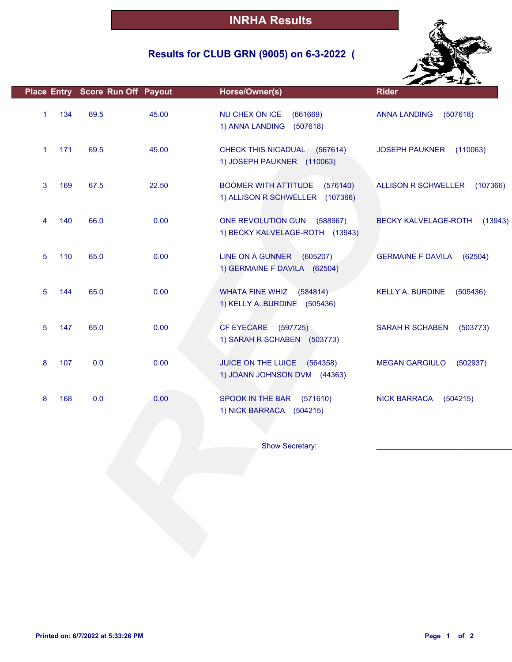## **Results for CLUB GRN (9005) on 6-3-2022 (**



| 134<br>69.5<br>45.00<br>NU CHEX ON ICE<br>1<br>(661669)<br><b>ANNA LANDING</b><br>(507618)<br>1) ANNA LANDING<br>(507618)<br>171<br>69.5<br>45.00<br>1<br>CHECK THIS NICADUAL (567614)<br><b>JOSEPH PAUKNER</b><br>(110063)<br>1) JOSEPH PAUKNER (110063)<br>67.5<br>22.50<br><b>BOOMER WITH ATTITUDE</b><br>3<br>169<br>(576140)<br><b>ALLISON R SCHWELLER</b><br>1) ALLISON R SCHWELLER (107366)<br>66.0<br>0.00<br>140<br>ONE REVOLUTION GUN<br>(588967)<br>BECKY KALVELAGE-ROTH<br>4<br>1) BECKY KALVELAGE-ROTH (13943)<br>65.0<br>0.00<br>5<br>110<br>LINE ON A GUNNER (605207)<br><b>GERMAINE F DAVILA</b><br>(62504)<br>1) GERMAINE F DAVILA (62504)<br>65.0<br>0.00<br>5<br>144<br><b>WHATA FINE WHIZ</b><br>(584814)<br><b>KELLY A. BURDINE</b><br>(505436)<br>1) KELLY A. BURDINE (505436)<br>65.0<br>0.00<br><b>CF EYECARE</b><br>5<br>147<br>(597725)<br>SARAH R SCHABEN<br>(503773)<br>1) SARAH R SCHABEN (503773)<br>0.0<br>0.00<br>JUICE ON THE LUICE (564358)<br>8<br>107<br><b>MEGAN GARGIULO</b><br>(502937)<br>1) JOANN JOHNSON DVM (44363)<br>168<br>0.0<br>0.00<br>SPOOK IN THE BAR<br>8<br>(571610)<br><b>NICK BARRACA</b><br>(504215)<br>1) NICK BARRACA (504215)<br>Show Secretary: |  | Place Entry Score Run Off Payout | Horse/Owner(s) | <b>Rider</b> |
|-------------------------------------------------------------------------------------------------------------------------------------------------------------------------------------------------------------------------------------------------------------------------------------------------------------------------------------------------------------------------------------------------------------------------------------------------------------------------------------------------------------------------------------------------------------------------------------------------------------------------------------------------------------------------------------------------------------------------------------------------------------------------------------------------------------------------------------------------------------------------------------------------------------------------------------------------------------------------------------------------------------------------------------------------------------------------------------------------------------------------------------------------------------------------------------------------------------|--|----------------------------------|----------------|--------------|
|                                                                                                                                                                                                                                                                                                                                                                                                                                                                                                                                                                                                                                                                                                                                                                                                                                                                                                                                                                                                                                                                                                                                                                                                             |  |                                  |                |              |
|                                                                                                                                                                                                                                                                                                                                                                                                                                                                                                                                                                                                                                                                                                                                                                                                                                                                                                                                                                                                                                                                                                                                                                                                             |  |                                  |                |              |
|                                                                                                                                                                                                                                                                                                                                                                                                                                                                                                                                                                                                                                                                                                                                                                                                                                                                                                                                                                                                                                                                                                                                                                                                             |  |                                  |                | (107366)     |
|                                                                                                                                                                                                                                                                                                                                                                                                                                                                                                                                                                                                                                                                                                                                                                                                                                                                                                                                                                                                                                                                                                                                                                                                             |  |                                  |                | (13943)      |
|                                                                                                                                                                                                                                                                                                                                                                                                                                                                                                                                                                                                                                                                                                                                                                                                                                                                                                                                                                                                                                                                                                                                                                                                             |  |                                  |                |              |
|                                                                                                                                                                                                                                                                                                                                                                                                                                                                                                                                                                                                                                                                                                                                                                                                                                                                                                                                                                                                                                                                                                                                                                                                             |  |                                  |                |              |
|                                                                                                                                                                                                                                                                                                                                                                                                                                                                                                                                                                                                                                                                                                                                                                                                                                                                                                                                                                                                                                                                                                                                                                                                             |  |                                  |                |              |
|                                                                                                                                                                                                                                                                                                                                                                                                                                                                                                                                                                                                                                                                                                                                                                                                                                                                                                                                                                                                                                                                                                                                                                                                             |  |                                  |                |              |
|                                                                                                                                                                                                                                                                                                                                                                                                                                                                                                                                                                                                                                                                                                                                                                                                                                                                                                                                                                                                                                                                                                                                                                                                             |  |                                  |                |              |
|                                                                                                                                                                                                                                                                                                                                                                                                                                                                                                                                                                                                                                                                                                                                                                                                                                                                                                                                                                                                                                                                                                                                                                                                             |  |                                  |                |              |
|                                                                                                                                                                                                                                                                                                                                                                                                                                                                                                                                                                                                                                                                                                                                                                                                                                                                                                                                                                                                                                                                                                                                                                                                             |  |                                  |                |              |
|                                                                                                                                                                                                                                                                                                                                                                                                                                                                                                                                                                                                                                                                                                                                                                                                                                                                                                                                                                                                                                                                                                                                                                                                             |  |                                  |                |              |
|                                                                                                                                                                                                                                                                                                                                                                                                                                                                                                                                                                                                                                                                                                                                                                                                                                                                                                                                                                                                                                                                                                                                                                                                             |  |                                  |                |              |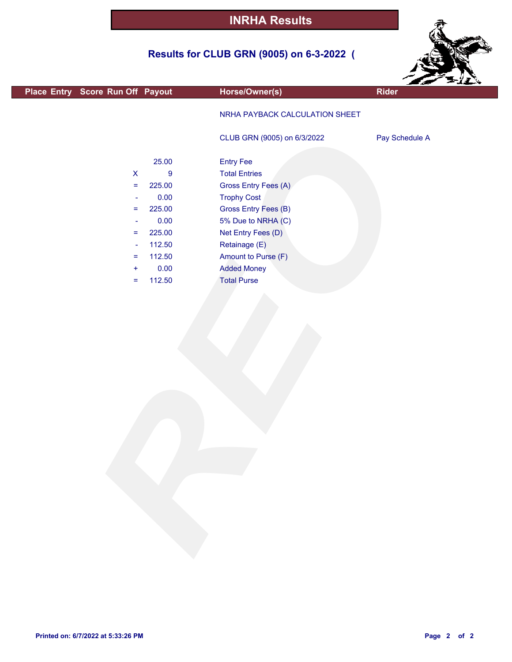## **Results for CLUB GRN (9005) on 6-3-2022 (**



| Place Entry Score Run Off Payout |                  | Horse/Owner(s)                 | ---<br><b>Rider</b> |
|----------------------------------|------------------|--------------------------------|---------------------|
|                                  |                  |                                |                     |
|                                  |                  | NRHA PAYBACK CALCULATION SHEET |                     |
|                                  |                  |                                |                     |
|                                  |                  | CLUB GRN (9005) on 6/3/2022    | Pay Schedule A      |
|                                  |                  |                                |                     |
|                                  | 25.00            | <b>Entry Fee</b>               |                     |
| $\pmb{\mathsf{X}}$               | $\boldsymbol{9}$ | <b>Total Entries</b>           |                     |
| $\equiv$                         | 225.00           | Gross Entry Fees (A)           |                     |
| $\overline{\phantom{a}}$         | 0.00             | <b>Trophy Cost</b>             |                     |
| $\equiv$                         | 225.00           | Gross Entry Fees (B)           |                     |
| $\overline{\phantom{a}}$         | 0.00             | 5% Due to NRHA (C)             |                     |
| $\equiv$                         | 225.00           | Net Entry Fees (D)             |                     |
| $\overline{\phantom{a}}$         | 112.50           | Retainage (E)                  |                     |
| $\equiv$                         | 112.50           | Amount to Purse (F)            |                     |
| $\ddot{}$                        | 0.00             | <b>Added Money</b>             |                     |
| $\equiv$                         | 112.50           | <b>Total Purse</b>             |                     |
|                                  |                  |                                |                     |
|                                  |                  |                                |                     |
|                                  |                  |                                |                     |
|                                  |                  |                                |                     |
|                                  |                  |                                |                     |
|                                  |                  |                                |                     |
|                                  |                  |                                |                     |
|                                  |                  |                                |                     |
|                                  |                  |                                |                     |
|                                  |                  |                                |                     |
|                                  |                  |                                |                     |
|                                  |                  |                                |                     |
|                                  |                  |                                |                     |
|                                  |                  |                                |                     |
|                                  |                  |                                |                     |
|                                  |                  |                                |                     |
|                                  |                  |                                |                     |
|                                  |                  |                                |                     |
|                                  |                  |                                |                     |
|                                  |                  |                                |                     |
|                                  |                  |                                |                     |
|                                  |                  |                                |                     |
|                                  |                  |                                |                     |

г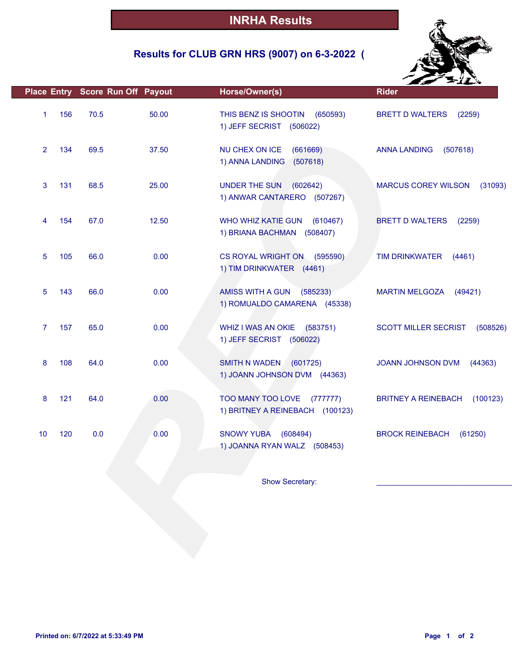## **Results for CLUB GRN HRS (9007) on 6-3-2022 (**



| 70.5<br>50.00<br>69.5<br>37.50<br>25.00<br>68.5<br>12.50<br>67.0 | THIS BENZ IS SHOOTIN<br>(650593)<br>1) JEFF SECRIST (506022)<br>NU CHEX ON ICE<br>(661669)<br>1) ANNA LANDING<br>(507618)<br><b>UNDER THE SUN</b><br>(602642)<br>1) ANWAR CANTARERO (507267) | <b>BRETT D WALTERS</b><br>(2259)<br><b>ANNA LANDING</b><br>(507618)<br><b>MARCUS COREY WILSON</b><br>(31093) |
|------------------------------------------------------------------|----------------------------------------------------------------------------------------------------------------------------------------------------------------------------------------------|--------------------------------------------------------------------------------------------------------------|
|                                                                  |                                                                                                                                                                                              |                                                                                                              |
|                                                                  |                                                                                                                                                                                              |                                                                                                              |
|                                                                  |                                                                                                                                                                                              |                                                                                                              |
|                                                                  | WHO WHIZ KATIE GUN<br>(610467)<br>1) BRIANA BACHMAN (508407)                                                                                                                                 | <b>BRETT D WALTERS</b><br>(2259)                                                                             |
| 0.00                                                             | CS ROYAL WRIGHT ON (595590)<br>1) TIM DRINKWATER (4461)                                                                                                                                      | <b>TIM DRINKWATER</b><br>(4461)                                                                              |
| 0.00                                                             | AMISS WITH A GUN<br>(585233)<br>1) ROMUALDO CAMARENA (45338)                                                                                                                                 | <b>MARTIN MELGOZA</b><br>(49421)                                                                             |
| 0.00                                                             | <b>WHIZ I WAS AN OKIE</b><br>(583751)<br>1) JEFF SECRIST (506022)                                                                                                                            | <b>SCOTT MILLER SECRIST</b><br>(508526)                                                                      |
| 0.00                                                             | <b>SMITH N WADEN</b><br>(601725)<br>1) JOANN JOHNSON DVM (44363)                                                                                                                             | JOANN JOHNSON DVM<br>(44363)                                                                                 |
| 0.00                                                             | TOO MANY TOO LOVE (777777)<br>1) BRITNEY A REINEBACH (100123)                                                                                                                                | <b>BRITNEY A REINEBACH</b><br>(100123)                                                                       |
| 0.00                                                             | <b>SNOWY YUBA</b><br>(608494)<br>1) JOANNA RYAN WALZ (508453)                                                                                                                                | <b>BROCK REINEBACH</b><br>(61250)                                                                            |
|                                                                  |                                                                                                                                                                                              |                                                                                                              |
|                                                                  | 66.0<br>66.0<br>65.0<br>64.0<br>64.0<br>0.0                                                                                                                                                  | Show Secretary:                                                                                              |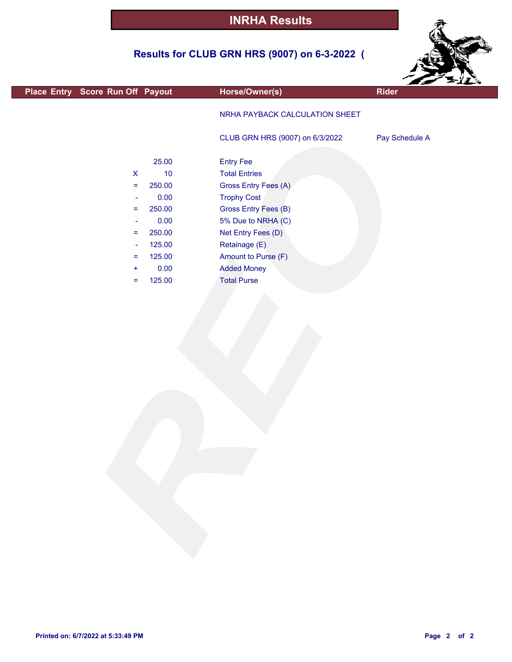## **Results for CLUB GRN HRS (9007) on 6-3-2022 (**



| Place Entry Score Run Off Payout                                                                                                                                                |                                                                                                   | Horse/Owner(s)                                                                                                                                                                                                                                        | ---<br><b>Rider</b> |
|---------------------------------------------------------------------------------------------------------------------------------------------------------------------------------|---------------------------------------------------------------------------------------------------|-------------------------------------------------------------------------------------------------------------------------------------------------------------------------------------------------------------------------------------------------------|---------------------|
|                                                                                                                                                                                 |                                                                                                   | NRHA PAYBACK CALCULATION SHEET                                                                                                                                                                                                                        |                     |
|                                                                                                                                                                                 |                                                                                                   | CLUB GRN HRS (9007) on 6/3/2022                                                                                                                                                                                                                       | Pay Schedule A      |
| $\pmb{\mathsf{X}}$<br>$\equiv$<br>$\overline{\phantom{a}}$<br>$\equiv$<br>$\overline{\phantom{a}}$<br>$\equiv$<br>$\overline{\phantom{a}}$<br>$\equiv$<br>$\ddot{}$<br>$\equiv$ | 25.00<br>$10$<br>250.00<br>0.00<br>250.00<br>0.00<br>250.00<br>125.00<br>125.00<br>0.00<br>125.00 | <b>Entry Fee</b><br><b>Total Entries</b><br>Gross Entry Fees (A)<br><b>Trophy Cost</b><br><b>Gross Entry Fees (B)</b><br>5% Due to NRHA (C)<br>Net Entry Fees (D)<br>Retainage (E)<br>Amount to Purse (F)<br><b>Added Money</b><br><b>Total Purse</b> |                     |
|                                                                                                                                                                                 |                                                                                                   |                                                                                                                                                                                                                                                       |                     |
|                                                                                                                                                                                 |                                                                                                   |                                                                                                                                                                                                                                                       |                     |

F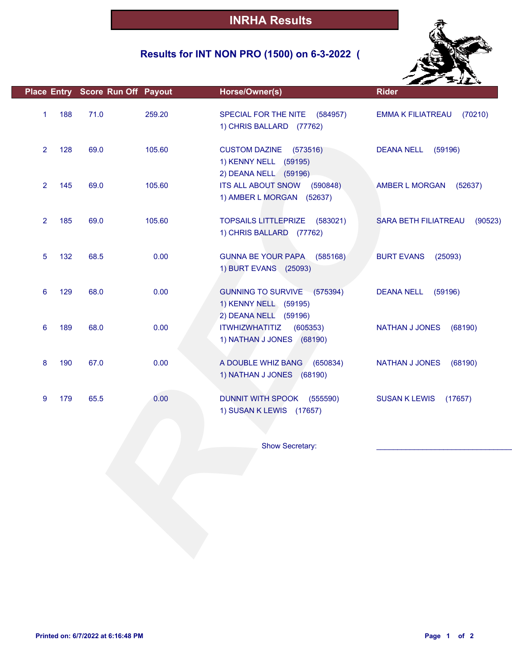## **Results for INT NON PRO (1500) on 6-3-2022 (**



|                       | Place Entry Score Run Off Payout |        | Horse/Owner(s)                                                                              | <b>Rider</b>                           |
|-----------------------|----------------------------------|--------|---------------------------------------------------------------------------------------------|----------------------------------------|
| 188<br>1              | 71.0                             | 259.20 | SPECIAL FOR THE NITE (584957)<br>1) CHRIS BALLARD (77762)                                   | (70210)<br><b>EMMA K FILIATREAU</b>    |
| $\overline{2}$<br>128 | 69.0                             | 105.60 | <b>CUSTOM DAZINE</b><br>(573516)<br>1) KENNY NELL (59195)                                   | <b>DEANA NELL</b><br>(59196)           |
| $\overline{2}$<br>145 | 69.0                             | 105.60 | 2) DEANA NELL (59196)<br><b>ITS ALL ABOUT SNOW</b><br>(590848)<br>1) AMBER L MORGAN (52637) | AMBER L MORGAN<br>(52637)              |
| 185<br>$\overline{2}$ | 69.0                             | 105.60 | TOPSAILS LITTLEPRIZE (583021)<br>1) CHRIS BALLARD (77762)                                   | <b>SARA BETH FILIATREAU</b><br>(90523) |
| 5<br>132              | 68.5                             | 0.00   | <b>GUNNA BE YOUR PAPA</b><br>(585168)<br>1) BURT EVANS (25093)                              | <b>BURT EVANS</b><br>(25093)           |
| 129<br>6              | 68.0                             | 0.00   | GUNNING TO SURVIVE (575394)<br>1) KENNY NELL (59195)<br>2) DEANA NELL (59196)               | <b>DEANA NELL</b><br>(59196)           |
| 6<br>189              | 68.0                             | 0.00   | <b>ITWHIZWHATITIZ</b><br>(605353)<br>1) NATHAN J JONES (68190)                              | <b>NATHAN J JONES</b><br>(68190)       |
| 8<br>190              | 67.0                             | 0.00   | A DOUBLE WHIZ BANG (650834)<br>1) NATHAN J JONES (68190)                                    | <b>NATHAN J JONES</b><br>(68190)       |
| 179<br>9              | 65.5                             | 0.00   | DUNNIT WITH SPOOK (555590)<br>1) SUSAN K LEWIS (17657)                                      | <b>SUSAN K LEWIS</b><br>(17657)        |
|                       |                                  |        |                                                                                             |                                        |
|                       |                                  |        | Show Secretary:                                                                             |                                        |
|                       |                                  |        |                                                                                             |                                        |
|                       |                                  |        |                                                                                             |                                        |
|                       |                                  |        |                                                                                             |                                        |
|                       |                                  |        |                                                                                             |                                        |
|                       |                                  |        |                                                                                             |                                        |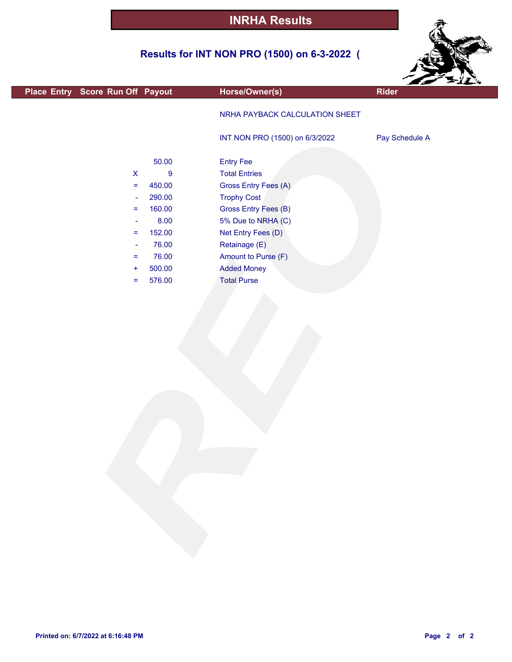## **Results for INT NON PRO (1500) on 6-3-2022 (**



| Place Entry Score Run Off Payout              | Horse/Owner(s)                 | ---<br><b>Rider</b> |
|-----------------------------------------------|--------------------------------|---------------------|
|                                               |                                |                     |
|                                               | NRHA PAYBACK CALCULATION SHEET |                     |
|                                               | INT NON PRO (1500) on 6/3/2022 | Pay Schedule A      |
|                                               |                                |                     |
| 50.00                                         | <b>Entry Fee</b>               |                     |
| $\boldsymbol{9}$<br>$\boldsymbol{\mathsf{X}}$ | <b>Total Entries</b>           |                     |
| 450.00<br>$\equiv$                            | Gross Entry Fees (A)           |                     |
| 290.00<br>$\blacksquare$                      | <b>Trophy Cost</b>             |                     |
| 160.00<br>$\equiv$                            | Gross Entry Fees (B)           |                     |
| 8.00<br>$\overline{\phantom{a}}$              | 5% Due to NRHA (C)             |                     |
| 152.00<br>$\equiv$                            | Net Entry Fees (D)             |                     |
| 76.00<br>$\blacksquare$                       | Retainage (E)                  |                     |
| 76.00<br>$\equiv$                             | Amount to Purse (F)            |                     |
| 500.00<br>$\ddot{}$                           | <b>Added Money</b>             |                     |
| 576.00<br>$\equiv$                            | <b>Total Purse</b>             |                     |
|                                               |                                |                     |
|                                               |                                |                     |
|                                               |                                |                     |
|                                               |                                |                     |
|                                               |                                |                     |
|                                               |                                |                     |
|                                               |                                |                     |
|                                               |                                |                     |
|                                               |                                |                     |
|                                               |                                |                     |
|                                               |                                |                     |
|                                               |                                |                     |
|                                               |                                |                     |
|                                               |                                |                     |
|                                               |                                |                     |
|                                               |                                |                     |
|                                               |                                |                     |
|                                               |                                |                     |
|                                               |                                |                     |
|                                               |                                |                     |
|                                               |                                |                     |
|                                               |                                |                     |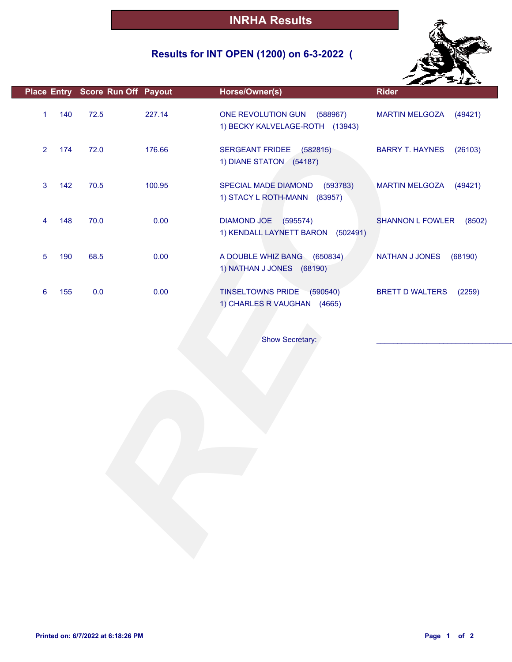## **Results for INT OPEN (1200) on 6-3-2022 (**



|                |     | Place Entry Score Run Off Payout |        | Horse/Owner(s)                                                      | <b>Rider</b>                      |
|----------------|-----|----------------------------------|--------|---------------------------------------------------------------------|-----------------------------------|
| $\mathbf{1}$   | 140 | 72.5                             | 227.14 | ONE REVOLUTION GUN (588967)<br>1) BECKY KALVELAGE-ROTH (13943)      | MARTIN MELGOZA (49421)            |
| $\overline{2}$ | 174 | 72.0                             | 176.66 | SERGEANT FRIDEE<br>(582815)<br>1) DIANE STATON (54187)              | <b>BARRY T. HAYNES</b><br>(26103) |
| 3              | 142 | 70.5                             | 100.95 | SPECIAL MADE DIAMOND<br>(593783)<br>1) STACY L ROTH-MANN (83957)    | <b>MARTIN MELGOZA</b><br>(49421)  |
| 4              | 148 | 70.0                             | 0.00   | DIAMOND JOE (595574)<br>1) KENDALL LAYNETT BARON (502491)           | <b>SHANNON L FOWLER</b><br>(8502) |
| 5              | 190 | 68.5                             | 0.00   | A DOUBLE WHIZ BANG (650834)<br>1) NATHAN J JONES (68190)            | <b>NATHAN J JONES</b><br>(68190)  |
| 6              | 155 | 0.0                              | 0.00   | (590540)<br><b>TINSELTOWNS PRIDE</b><br>1) CHARLES R VAUGHAN (4665) | <b>BRETT D WALTERS</b><br>(2259)  |
|                |     |                                  |        |                                                                     |                                   |
|                |     |                                  |        | Show Secretary:                                                     |                                   |
|                |     |                                  |        |                                                                     |                                   |
|                |     |                                  |        |                                                                     |                                   |
|                |     |                                  |        |                                                                     |                                   |
|                |     |                                  |        |                                                                     |                                   |
|                |     |                                  |        |                                                                     |                                   |
|                |     |                                  |        |                                                                     |                                   |
|                |     |                                  |        |                                                                     |                                   |
|                |     |                                  |        |                                                                     |                                   |
|                |     |                                  |        |                                                                     |                                   |
|                |     |                                  |        |                                                                     |                                   |
|                |     |                                  |        |                                                                     |                                   |
|                |     |                                  |        |                                                                     |                                   |
|                |     |                                  |        |                                                                     |                                   |
|                |     |                                  |        |                                                                     |                                   |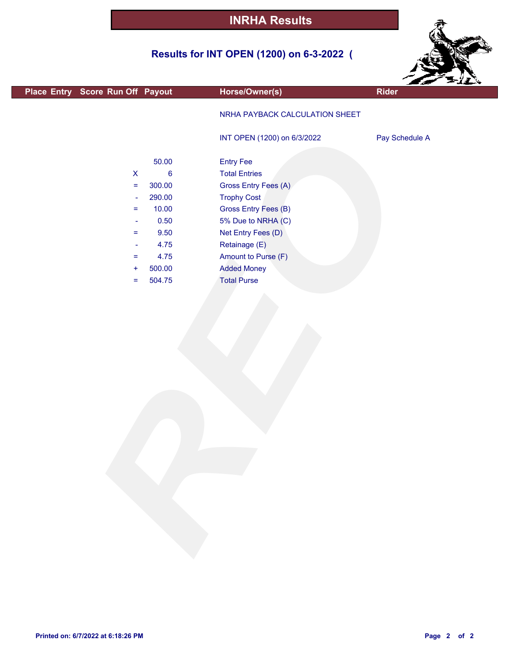## **Results for INT OPEN (1200) on 6-3-2022 (**



|                                  |                |                                | <b>SALLA</b>   |
|----------------------------------|----------------|--------------------------------|----------------|
| Place Entry Score Run Off Payout |                | Horse/Owner(s)                 | Rider          |
|                                  |                | NRHA PAYBACK CALCULATION SHEET |                |
|                                  |                | INT OPEN (1200) on 6/3/2022    | Pay Schedule A |
|                                  | 50.00          | <b>Entry Fee</b>               |                |
| $\pmb{\mathsf{X}}$               | $6\phantom{a}$ | <b>Total Entries</b>           |                |
| $\equiv$                         | 300.00         | Gross Entry Fees (A)           |                |
| $\blacksquare$                   | 290.00         | <b>Trophy Cost</b>             |                |
| $\equiv$                         | 10.00          | Gross Entry Fees (B)           |                |
| $\blacksquare$                   | 0.50           | 5% Due to NRHA (C)             |                |
| $=$                              | 9.50           | Net Entry Fees (D)             |                |
| $\blacksquare$                   | 4.75           | Retainage (E)                  |                |
| $=$                              | 4.75           | Amount to Purse (F)            |                |
| $\ddot{}$                        | 500.00         | <b>Added Money</b>             |                |
| $\equiv$                         | 504.75         | <b>Total Purse</b>             |                |
|                                  |                |                                |                |
|                                  |                |                                |                |

L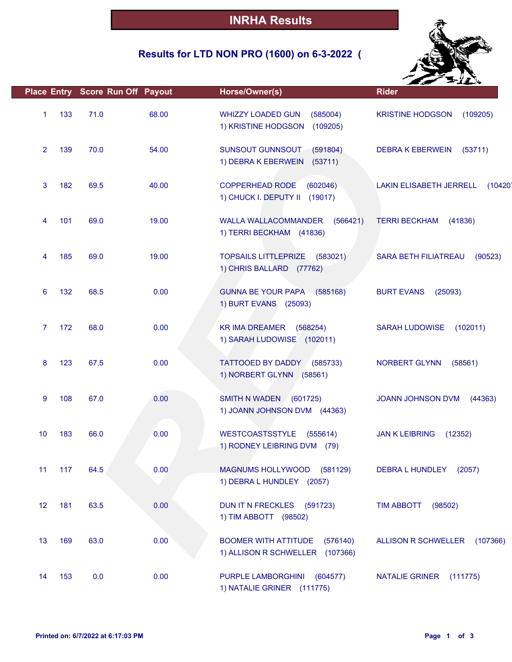## **Results for LTD NON PRO (1600) on 6-3-2022 (**



|                 |     |      | Place Entry Score Run Off Payout | Horse/Owner(s)                                                             | <b>Rider</b>                              |
|-----------------|-----|------|----------------------------------|----------------------------------------------------------------------------|-------------------------------------------|
| $\mathbf{1}$    | 133 | 71.0 | 68.00                            | WHIZZY LOADED GUN<br>(585004)<br>1) KRISTINE HODGSON<br>(109205)           | <b>KRISTINE HODGSON</b><br>(109205)       |
| $\overline{2}$  | 139 | 70.0 | 54.00                            | SUNSOUT GUNNSOUT<br>(591804)<br>1) DEBRA K EBERWEIN (53711)                | <b>DEBRA K EBERWEIN</b><br>(53711)        |
| 3               | 182 | 69.5 | 40.00                            | <b>COPPERHEAD RODE</b><br>(602046)<br>1) CHUCK I. DEPUTY II (19017)        | <b>LAKIN ELISABETH JERRELL</b><br>(10420) |
| 4               | 101 | 69.0 | 19.00                            | WALLA WALLACOMMANDER<br>(566421)<br>1) TERRI BECKHAM (41836)               | <b>TERRI BECKHAM</b><br>(41836)           |
| 4               | 185 | 69.0 | 19.00                            | <b>TOPSAILS LITTLEPRIZE</b><br>(583021)<br>1) CHRIS BALLARD (77762)        | SARA BETH FILIATREAU<br>(90523)           |
| 6               | 132 | 68.5 | 0.00                             | GUNNA BE YOUR PAPA (585168)<br>1) BURT EVANS (25093)                       | <b>BURT EVANS</b><br>(25093)              |
| 7               | 172 | 68.0 | 0.00                             | <b>KR IMA DREAMER</b><br>(568254)<br>1) SARAH LUDOWISE (102011)            | <b>SARAH LUDOWISE</b><br>(102011)         |
| 8               | 123 | 67.5 | 0.00                             | TATTOOED BY DADDY (585733)<br>1) NORBERT GLYNN (58561)                     | NORBERT GLYNN<br>(58561)                  |
| 9               | 108 | 67.0 | 0.00                             | SMITH N WADEN<br>(601725)<br>1) JOANN JOHNSON DVM (44363)                  | JOANN JOHNSON DVM<br>(44363)              |
| 10              | 183 | 66.0 | 0.00                             | <b>WESTCOASTSSTYLE</b><br>(555614)<br>1) RODNEY LEIBRING DVM (79)          | <b>JAN K LEIBRING</b><br>(12352)          |
| 11              | 117 | 64.5 | 0.00                             | MAGNUMS HOLLYWOOD (581129)<br>1) DEBRA L HUNDLEY (2057)                    | DEBRA L HUNDLEY<br>(2057)                 |
| 12 <sup>2</sup> | 181 | 63.5 | 0.00                             | DUN IT N FRECKLES (591723)<br>1) TIM ABBOTT (98502)                        | <b>TIM ABBOTT</b><br>(98502)              |
| 13              | 169 | 63.0 | 0.00                             | <b>BOOMER WITH ATTITUDE</b><br>(576140)<br>1) ALLISON R SCHWELLER (107366) | ALLISON R SCHWELLER<br>(107366)           |
| 14              | 153 | 0.0  | 0.00                             | PURPLE LAMBORGHINI<br>(604577)<br>1) NATALIE GRINER (111775)               | NATALIE GRINER<br>(111775)                |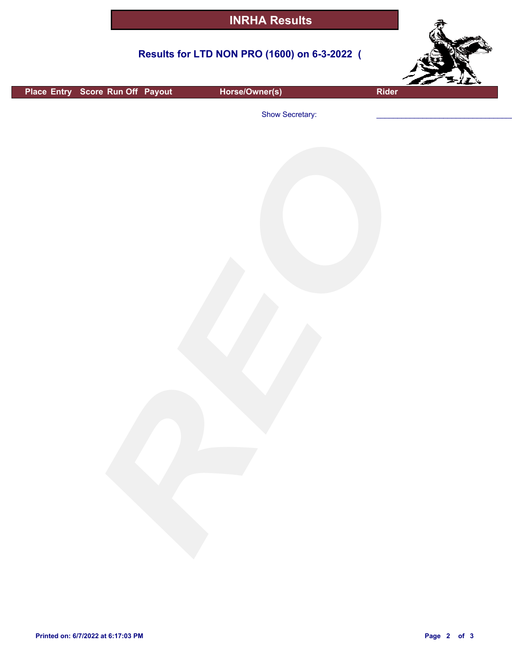#### **Results for LTD NON PRO (1600) on 6-3-2022 (**



**Place Entry** Score Run Off Payout **Horse/Owner(s) Rider**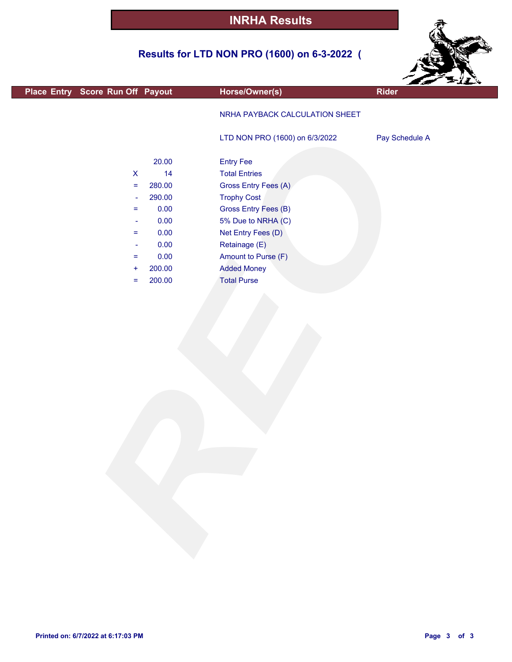## **Results for LTD NON PRO (1600) on 6-3-2022 (**



|                                  |        |                                | Est Film       |
|----------------------------------|--------|--------------------------------|----------------|
| Place Entry Score Run Off Payout |        | Horse/Owner(s)                 | <b>Rider</b>   |
|                                  |        | NRHA PAYBACK CALCULATION SHEET |                |
|                                  |        | LTD NON PRO (1600) on 6/3/2022 | Pay Schedule A |
|                                  | 20.00  | <b>Entry Fee</b>               |                |
| $\boldsymbol{\mathsf{X}}$        | 14     | <b>Total Entries</b>           |                |
| $\equiv$                         | 280.00 | Gross Entry Fees (A)           |                |
| $\blacksquare$                   | 290.00 | <b>Trophy Cost</b>             |                |
| $\equiv$                         | 0.00   | Gross Entry Fees (B)           |                |
| $\blacksquare$                   | 0.00   | 5% Due to NRHA (C)             |                |
| $\equiv$                         | 0.00   | Net Entry Fees (D)             |                |
| $\blacksquare$                   | 0.00   | Retainage (E)                  |                |
| $\equiv$                         | 0.00   | Amount to Purse (F)            |                |
| $\ddot{}$                        | 200.00 | <b>Added Money</b>             |                |
| $\equiv$                         | 200.00 | <b>Total Purse</b>             |                |
|                                  |        |                                |                |
|                                  |        |                                |                |
|                                  |        |                                |                |
|                                  |        |                                |                |
|                                  |        |                                |                |
|                                  |        |                                |                |
|                                  |        |                                |                |
|                                  |        |                                |                |
|                                  |        |                                |                |
|                                  |        |                                |                |
|                                  |        |                                |                |
|                                  |        |                                |                |
|                                  |        |                                |                |
|                                  |        |                                |                |
|                                  |        |                                |                |
|                                  |        |                                |                |
|                                  |        |                                |                |
|                                  |        |                                |                |
|                                  |        |                                |                |
|                                  |        |                                |                |
|                                  |        |                                |                |
|                                  |        |                                |                |
|                                  |        |                                |                |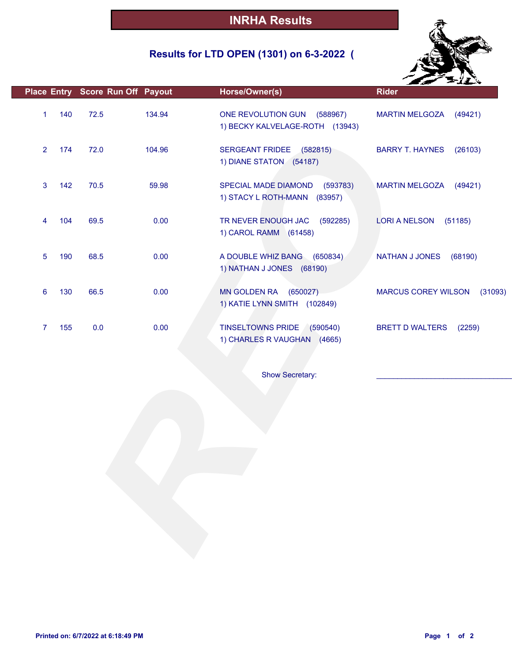## **Results for LTD OPEN (1301) on 6-3-2022 (**



|                |     | Place Entry Score Run Off Payout |        | Horse/Owner(s)                                                      | <b>Rider</b>                          |
|----------------|-----|----------------------------------|--------|---------------------------------------------------------------------|---------------------------------------|
| $\mathbf{1}$   | 140 | 72.5                             | 134.94 | ONE REVOLUTION GUN<br>(588967)<br>1) BECKY KALVELAGE-ROTH (13943)   | <b>MARTIN MELGOZA</b><br>(49421)      |
| $\overline{2}$ | 174 | 72.0                             | 104.96 | SERGEANT FRIDEE (582815)<br>1) DIANE STATON (54187)                 | <b>BARRY T. HAYNES</b><br>(26103)     |
| 3              | 142 | 70.5                             | 59.98  | SPECIAL MADE DIAMOND<br>(593783)<br>1) STACY L ROTH-MANN<br>(83957) | <b>MARTIN MELGOZA</b><br>(49421)      |
| 4              | 104 | 69.5                             | 0.00   | TR NEVER ENOUGH JAC<br>(592285)<br>1) CAROL RAMM (61458)            | <b>LORI A NELSON</b><br>(51185)       |
| 5              | 190 | 68.5                             | 0.00   | A DOUBLE WHIZ BANG (650834)<br>1) NATHAN J JONES (68190)            | NATHAN J JONES<br>(68190)             |
| 6              | 130 | 66.5                             | 0.00   | MN GOLDEN RA (650027)<br>1) KATIE LYNN SMITH (102849)               | <b>MARCUS COREY WILSON</b><br>(31093) |
| 7              | 155 | 0.0                              | 0.00   | TINSELTOWNS PRIDE (590540)<br>1) CHARLES R VAUGHAN (4665)           | <b>BRETT D WALTERS</b><br>(2259)      |
|                |     |                                  |        | <b>Show Secretary:</b>                                              |                                       |
|                |     |                                  |        |                                                                     |                                       |
|                |     |                                  |        |                                                                     |                                       |
|                |     |                                  |        |                                                                     |                                       |
|                |     |                                  |        |                                                                     |                                       |
|                |     |                                  |        |                                                                     |                                       |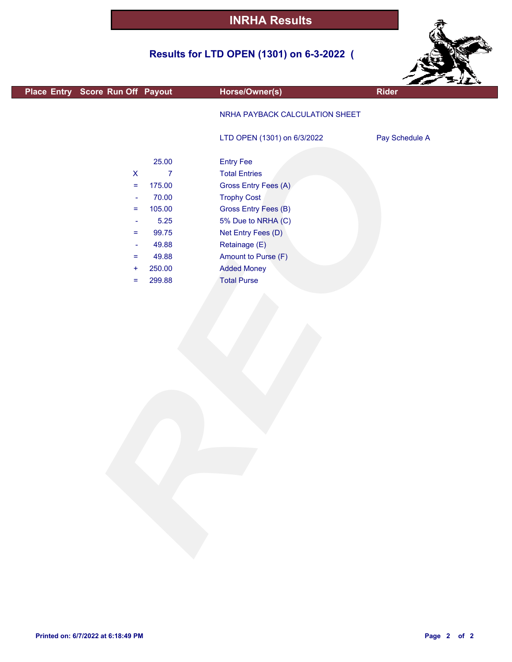## **Results for LTD OPEN (1301) on 6-3-2022 (**



|                                   |                |                                | $\mathcal{L}$ $\mathcal{L}$ |
|-----------------------------------|----------------|--------------------------------|-----------------------------|
| Place Entry Score Run Off Payout  |                | Horse/Owner(s)                 | Rider                       |
|                                   |                | NRHA PAYBACK CALCULATION SHEET |                             |
|                                   |                | LTD OPEN (1301) on 6/3/2022    | Pay Schedule A              |
|                                   | 25.00          | <b>Entry Fee</b>               |                             |
| $\mathsf X$                       | $\overline{7}$ | <b>Total Entries</b>           |                             |
| $\hspace{1.6cm} = \hspace{1.6cm}$ | 175.00         | Gross Entry Fees (A)           |                             |
| $\blacksquare$                    | 70.00          | <b>Trophy Cost</b>             |                             |
| =                                 | 105.00         | <b>Gross Entry Fees (B)</b>    |                             |
| $\overline{\phantom{a}}$          | 5.25           | 5% Due to NRHA (C)             |                             |
| $=$                               | 99.75          | Net Entry Fees (D)             |                             |
| ۰                                 | 49.88          | Retainage (E)                  |                             |
| $=$                               | 49.88          | Amount to Purse (F)            |                             |
| $\ddot{}$                         | 250.00         | <b>Added Money</b>             |                             |
| $=$                               | 299.88         | <b>Total Purse</b>             |                             |
|                                   |                |                                |                             |
|                                   |                |                                |                             |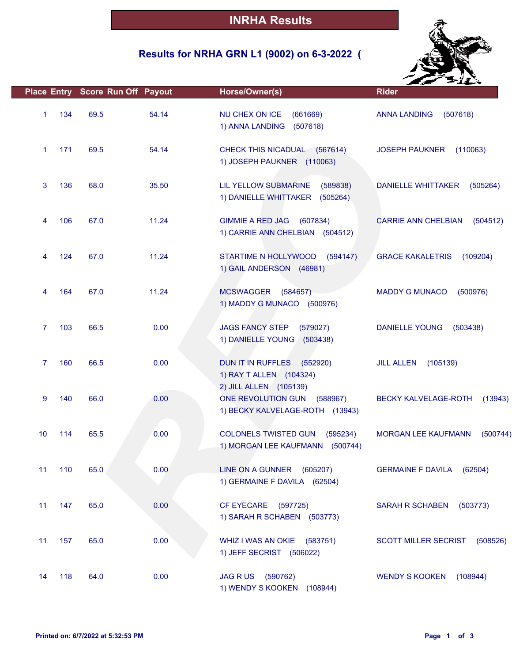## **Results for NRHA GRN L1 (9002) on 6-3-2022 (**



|              |     | Place Entry Score Run Off Payout |       | Horse/Owner(s)                                                                              | <b>Rider</b>                           |
|--------------|-----|----------------------------------|-------|---------------------------------------------------------------------------------------------|----------------------------------------|
| $\mathbf{1}$ | 134 | 69.5                             | 54.14 | NU CHEX ON ICE<br>(661669)<br>1) ANNA LANDING<br>(507618)                                   | <b>ANNA LANDING</b><br>(507618)        |
| $\mathbf{1}$ | 171 | 69.5                             | 54.14 | CHECK THIS NICADUAL (567614)<br>1) JOSEPH PAUKNER (110063)                                  | <b>JOSEPH PAUKNER</b><br>(110063)      |
| 3            | 136 | 68.0                             | 35.50 | LIL YELLOW SUBMARINE<br>(589838)<br>1) DANIELLE WHITTAKER<br>(505264)                       | DANIELLE WHITTAKER<br>(505264)         |
| 4            | 106 | 67.0                             | 11.24 | <b>GIMMIE A RED JAG</b><br>(607834)<br>1) CARRIE ANN CHELBIAN (504512)                      | <b>CARRIE ANN CHELBIAN</b><br>(504512) |
| 4            | 124 | 67.0                             | 11.24 | STARTIME N HOLLYWOOD<br>(594147)<br>1) GAIL ANDERSON (46981)                                | <b>GRACE KAKALETRIS</b><br>(109204)    |
| 4            | 164 | 67.0                             | 11.24 | MCSWAGGER (584657)<br>1) MADDY G MUNACO (500976)                                            | <b>MADDY G MUNACO</b><br>(500976)      |
| $\mathbf{7}$ | 103 | 66.5                             | 0.00  | <b>JAGS FANCY STEP</b><br>(579027)<br>1) DANIELLE YOUNG (503438)                            | <b>DANIELLE YOUNG</b><br>(503438)      |
| $\mathbf{7}$ | 160 | 66.5                             | 0.00  | DUN IT IN RUFFLES (552920)<br>1) RAY T ALLEN (104324)                                       | <b>JILL ALLEN</b><br>(105139)          |
| 9            | 140 | 66.0                             | 0.00  | 2) JILL ALLEN (105139)<br>ONE REVOLUTION GUN<br>(588967)<br>1) BECKY KALVELAGE-ROTH (13943) | <b>BECKY KALVELAGE-ROTH</b><br>(13943) |
| 10           | 114 | 65.5                             | 0.00  | <b>COLONELS TWISTED GUN</b><br>(595234)<br>1) MORGAN LEE KAUFMANN (500744)                  | <b>MORGAN LEE KAUFMANN</b><br>(500744) |
| 11           | 110 | 65.0                             | 0.00  | LINE ON A GUNNER (605207)<br>1) GERMAINE F DAVILA (62504)                                   | GERMAINE F DAVILA (62504)              |
| 11           | 147 | 65.0                             | 0.00  | CF EYECARE (597725)<br>1) SARAH R SCHABEN (503773)                                          | SARAH R SCHABEN (503773)               |
| 11           | 157 | 65.0                             | 0.00  | WHIZ I WAS AN OKIE (583751)<br>1) JEFF SECRIST (506022)                                     | SCOTT MILLER SECRIST (508526)          |
| 14           | 118 | 64.0                             | 0.00  | JAG R US (590762)<br>1) WENDY S KOOKEN (108944)                                             | WENDY S KOOKEN (108944)                |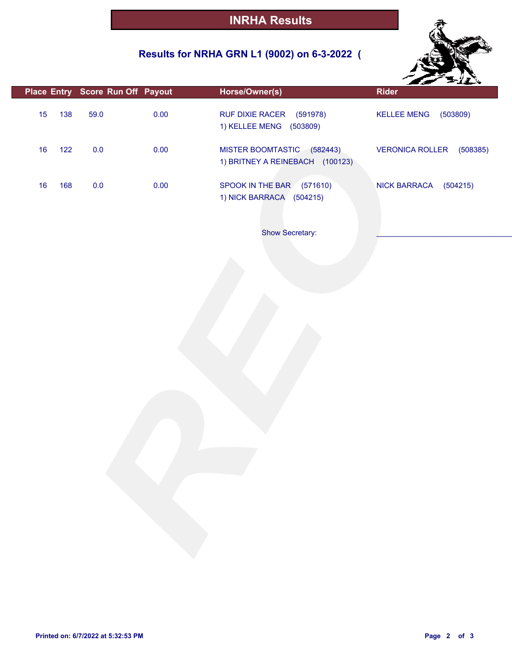## **Results for NRHA GRN L1 (9002) on 6-3-2022 (**



|    |     |         | Place Entry Score Run Off Payout | Horse/Owner(s)                                                | ---<br><b>Rider</b>             |
|----|-----|---------|----------------------------------|---------------------------------------------------------------|---------------------------------|
| 15 | 138 | 59.0    | 0.00                             | RUF DIXIE RACER<br>(591978)<br>1) KELLEE MENG (503809)        | (503809)<br><b>KELLEE MENG</b>  |
| 16 | 122 | $0.0\,$ | 0.00                             | MISTER BOOMTASTIC (582443)<br>1) BRITNEY A REINEBACH (100123) | VERONICA ROLLER (508385)        |
| 16 | 168 | $0.0\,$ | 0.00                             | SPOOK IN THE BAR (571610)<br>1) NICK BARRACA (504215)         | <b>NICK BARRACA</b><br>(504215) |
|    |     |         |                                  | Show Secretary:                                               |                                 |
|    |     |         |                                  |                                                               |                                 |
|    |     |         |                                  |                                                               |                                 |
|    |     |         |                                  |                                                               |                                 |
|    |     |         |                                  |                                                               |                                 |
|    |     |         |                                  |                                                               |                                 |
|    |     |         |                                  |                                                               |                                 |
|    |     |         |                                  |                                                               |                                 |
|    |     |         |                                  |                                                               |                                 |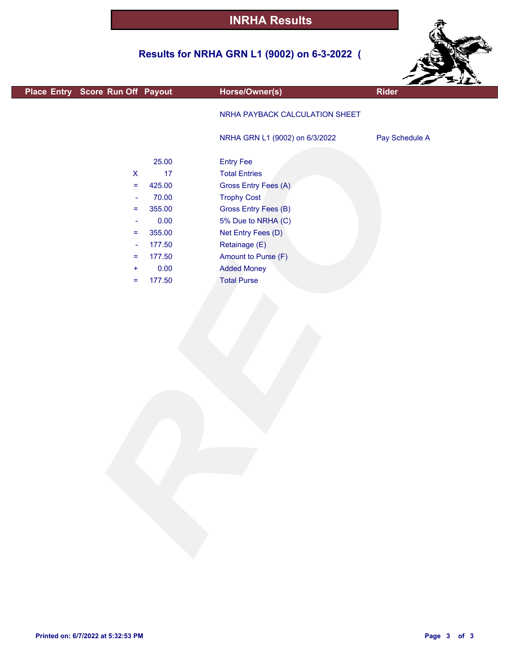## **Results for NRHA GRN L1 (9002) on 6-3-2022 (**



| Place Entry Score Run Off Payout | Horse/Owner(s)                 | <b>Rider</b>   |
|----------------------------------|--------------------------------|----------------|
|                                  | NRHA PAYBACK CALCULATION SHEET |                |
|                                  | NRHA GRN L1 (9002) on 6/3/2022 | Pay Schedule A |
| 25.00                            | <b>Entry Fee</b>               |                |
| 17<br>$\pmb{\mathsf{X}}$         | <b>Total Entries</b>           |                |
| 425.00<br>$=$                    | Gross Entry Fees (A)           |                |
| 70.00<br>$\blacksquare$          | <b>Trophy Cost</b>             |                |
| 355.00<br>$\equiv$               | Gross Entry Fees (B)           |                |
| 0.00<br>$\overline{\phantom{a}}$ | 5% Due to NRHA (C)             |                |
| 355.00<br>$=$                    | Net Entry Fees (D)             |                |
| 177.50<br>$\blacksquare$         | Retainage (E)                  |                |
| 177.50<br>$\equiv$               | Amount to Purse (F)            |                |
| 0.00<br>$\ddot{}$                | <b>Added Money</b>             |                |
| 177.50<br>Ξ                      | <b>Total Purse</b>             |                |
|                                  |                                |                |
|                                  |                                |                |
|                                  |                                |                |
|                                  |                                |                |
|                                  |                                |                |
|                                  |                                |                |
|                                  |                                |                |
|                                  |                                |                |
|                                  |                                |                |
|                                  |                                |                |
|                                  |                                |                |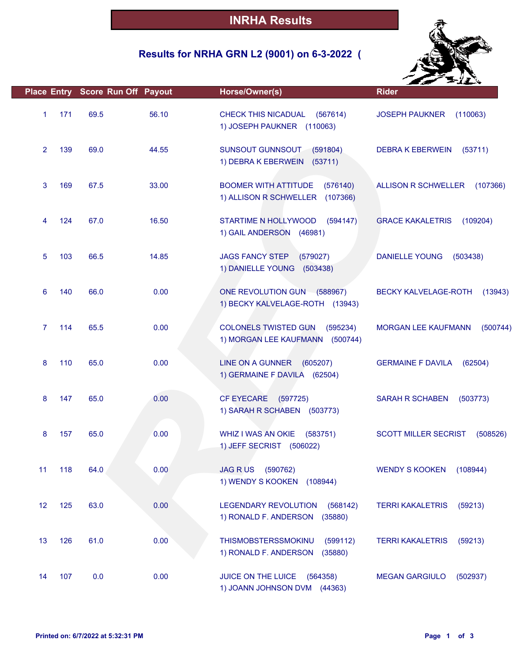## **Results for NRHA GRN L2 (9001) on 6-3-2022 (**



|                        | Place Entry Score Run Off Payout |       | Horse/Owner(s)                                                              | <b>Rider</b>                            |
|------------------------|----------------------------------|-------|-----------------------------------------------------------------------------|-----------------------------------------|
| 171<br>$\mathbf{1}$    | 69.5                             | 56.10 | <b>CHECK THIS NICADUAL</b><br>(567614)<br>1) JOSEPH PAUKNER (110063)        | <b>JOSEPH PAUKNER</b><br>(110063)       |
| $\overline{2}$<br>139  | 69.0                             | 44.55 | SUNSOUT GUNNSOUT<br>(591804)<br>1) DEBRA K EBERWEIN (53711)                 | <b>DEBRA K EBERWEIN</b><br>(53711)      |
| 3<br>169               | 67.5                             | 33.00 | <b>BOOMER WITH ATTITUDE</b><br>(576140)<br>1) ALLISON R SCHWELLER (107366)  | <b>ALLISON R SCHWELLER</b><br>(107366)  |
| 124<br>4               | 67.0                             | 16.50 | STARTIME N HOLLYWOOD<br>(594147)<br>1) GAIL ANDERSON (46981)                | <b>GRACE KAKALETRIS</b><br>(109204)     |
| 5<br>103               | 66.5                             | 14.85 | <b>JAGS FANCY STEP</b><br>(579027)<br>1) DANIELLE YOUNG<br>(503438)         | <b>DANIELLE YOUNG</b><br>(503438)       |
| 6<br>140               | 66.0                             | 0.00  | ONE REVOLUTION GUN (588967)<br>1) BECKY KALVELAGE-ROTH (13943)              | <b>BECKY KALVELAGE-ROTH</b><br>(13943)  |
| 114<br>$\mathbf{7}$    | 65.5                             | 0.00  | <b>COLONELS TWISTED GUN</b><br>(595234)<br>1) MORGAN LEE KAUFMANN (500744)  | <b>MORGAN LEE KAUFMANN</b><br>(500744)  |
| 8<br>110               | 65.0                             | 0.00  | LINE ON A GUNNER (605207)<br>1) GERMAINE F DAVILA (62504)                   | <b>GERMAINE F DAVILA</b><br>(62504)     |
| 8<br>147               | 65.0                             | 0.00  | <b>CF EYECARE</b><br>(597725)<br>1) SARAH R SCHABEN (503773)                | <b>SARAH R SCHABEN</b><br>(503773)      |
| 8<br>157               | 65.0                             | 0.00  | WHIZ I WAS AN OKIE<br>(583751)<br>1) JEFF SECRIST (506022)                  | <b>SCOTT MILLER SECRIST</b><br>(508526) |
| 11<br>118              | 64.0                             | 0.00  | <b>JAG RUS</b><br>(590762)<br>1) WENDY S KOOKEN (108944)                    | <b>WENDY S KOOKEN</b><br>(108944)       |
| 12 <sup>2</sup><br>125 | 63.0                             | 0.00  | <b>LEGENDARY REVOLUTION</b><br>(568142)<br>(35880)<br>1) RONALD F. ANDERSON | <b>TERRI KAKALETRIS</b><br>(59213)      |
| 13<br>126              | 61.0                             | 0.00  | THISMOBSTERSSMOKINU<br>(599112)<br>1) RONALD F. ANDERSON<br>(35880)         | <b>TERRI KAKALETRIS</b><br>(59213)      |
| 107<br>14              | 0.0                              | 0.00  | JUICE ON THE LUICE<br>(564358)<br>1) JOANN JOHNSON DVM (44363)              | <b>MEGAN GARGIULO</b><br>(502937)       |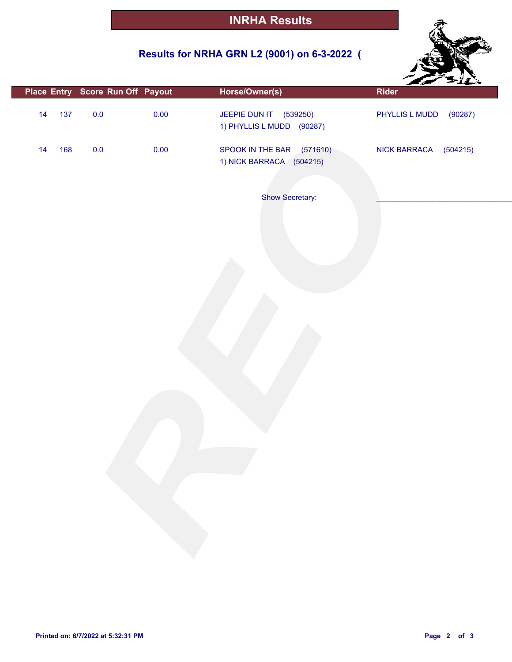## **Results for NRHA GRN L2 (9001) on 6-3-2022 (**



|           | Place Entry Score Run Off Payout | Horse/Owner(s)                                        | -سير<br><b>Rider</b>            |
|-----------|----------------------------------|-------------------------------------------------------|---------------------------------|
| 137<br>14 | $0.0\,$<br>0.00                  | JEEPIE DUN IT (539250)<br>1) PHYLLIS L MUDD (90287)   | (90287)<br>PHYLLIS L MUDD       |
| 168<br>14 | 0.00<br>$0.0\,$                  | SPOOK IN THE BAR (571610)<br>1) NICK BARRACA (504215) | <b>NICK BARRACA</b><br>(504215) |
|           |                                  | Show Secretary:                                       |                                 |
|           |                                  |                                                       |                                 |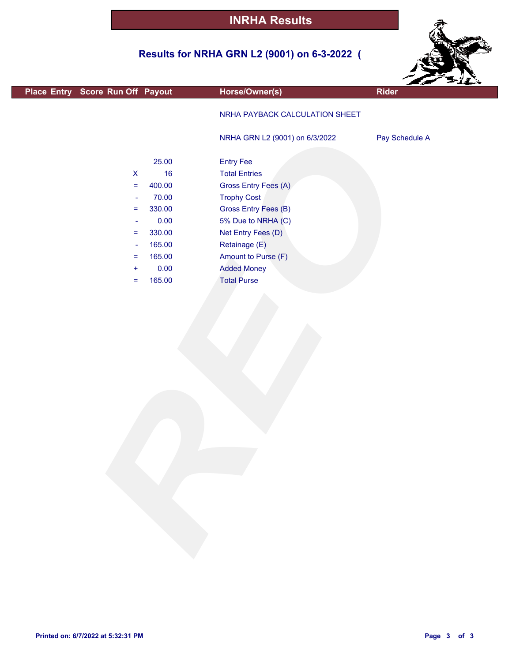## **Results for NRHA GRN L2 (9001) on 6-3-2022 (**



| Place Entry Score Run Off Payout | Horse/Owner(s)                 | ---<br><b>Rider</b> |
|----------------------------------|--------------------------------|---------------------|
|                                  |                                |                     |
|                                  | NRHA PAYBACK CALCULATION SHEET |                     |
|                                  | NRHA GRN L2 (9001) on 6/3/2022 | Pay Schedule A      |
|                                  |                                |                     |
| 25.00                            | <b>Entry Fee</b>               |                     |
| 16<br>$\boldsymbol{\mathsf{X}}$  | <b>Total Entries</b>           |                     |
| 400.00<br>$\equiv$               | Gross Entry Fees (A)           |                     |
| 70.00<br>$\blacksquare$          | <b>Trophy Cost</b>             |                     |
| 330.00<br>$\equiv$               | Gross Entry Fees (B)           |                     |
| 0.00<br>$\overline{\phantom{a}}$ | 5% Due to NRHA (C)             |                     |
| 330.00<br>$\equiv$               | Net Entry Fees (D)             |                     |
| 165.00<br>$\Box$                 | Retainage (E)                  |                     |
| 165.00<br>$\equiv$               | Amount to Purse (F)            |                     |
| 0.00<br>$\ddot{}$                | <b>Added Money</b>             |                     |
| 165.00<br>$\equiv$               | <b>Total Purse</b>             |                     |
|                                  |                                |                     |
|                                  |                                |                     |
|                                  |                                |                     |
|                                  |                                |                     |
|                                  |                                |                     |
|                                  |                                |                     |
|                                  |                                |                     |
|                                  |                                |                     |
|                                  |                                |                     |
|                                  |                                |                     |
|                                  |                                |                     |
|                                  |                                |                     |
|                                  |                                |                     |
|                                  |                                |                     |
|                                  |                                |                     |
|                                  |                                |                     |
|                                  |                                |                     |
|                                  |                                |                     |
|                                  |                                |                     |
|                                  |                                |                     |
|                                  |                                |                     |
|                                  |                                |                     |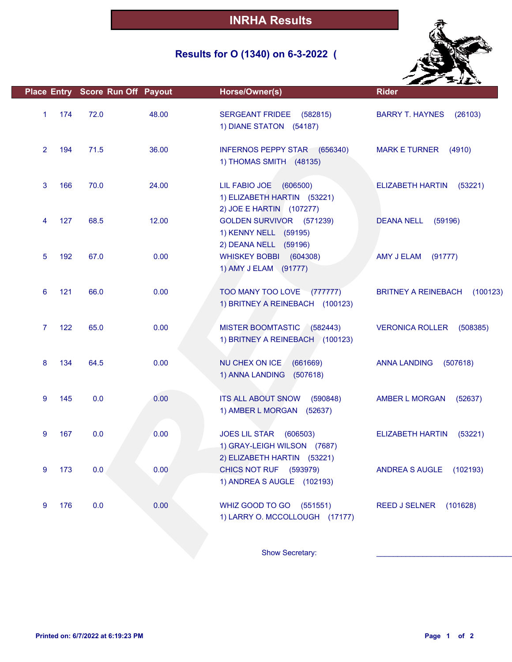## **Results for O (1340) on 6-3-2022 (**



|                |     | Place Entry Score Run Off Payout |       | Horse/Owner(s)                                                                       | <b>Rider</b>                           |
|----------------|-----|----------------------------------|-------|--------------------------------------------------------------------------------------|----------------------------------------|
| $\mathbf{1}$   | 174 | 72.0                             | 48.00 | <b>SERGEANT FRIDEE</b><br>(582815)<br>1) DIANE STATON (54187)                        | <b>BARRY T. HAYNES</b><br>(26103)      |
| $\overline{2}$ | 194 | 71.5                             | 36.00 | INFERNOS PEPPY STAR (656340)<br>1) THOMAS SMITH (48135)                              | MARK E TURNER (4910)                   |
| 3              | 166 | 70.0                             | 24.00 | LIL FABIO JOE (606500)<br>1) ELIZABETH HARTIN (53221)                                | <b>ELIZABETH HARTIN</b><br>(53221)     |
| 4              | 127 | 68.5                             | 12.00 | 2) JOE E HARTIN (107277)<br>GOLDEN SURVIVOR (571239)<br>1) KENNY NELL (59195)        | <b>DEANA NELL</b><br>(59196)           |
| 5              | 192 | 67.0                             | 0.00  | 2) DEANA NELL (59196)<br>WHISKEY BOBBI (604308)<br>1) AMY J ELAM (91777)             | AMY J ELAM<br>(91777)                  |
| 6              | 121 | 66.0                             | 0.00  | TOO MANY TOO LOVE (777777)<br>1) BRITNEY A REINEBACH (100123)                        | <b>BRITNEY A REINEBACH</b><br>(100123) |
| $\overline{7}$ | 122 | 65.0                             | 0.00  | MISTER BOOMTASTIC (582443)<br>1) BRITNEY A REINEBACH (100123)                        | <b>VERONICA ROLLER</b><br>(508385)     |
| 8              | 134 | 64.5                             | 0.00  | NU CHEX ON ICE<br>(661669)<br>1) ANNA LANDING<br>(507618)                            | <b>ANNA LANDING</b><br>(507618)        |
| 9              | 145 | 0.0                              | 0.00  | ITS ALL ABOUT SNOW (590848)<br>1) AMBER L MORGAN (52637)                             | AMBER L MORGAN<br>(52637)              |
| 9              | 167 | 0.0                              | 0.00  | JOES LIL STAR (606503)<br>1) GRAY-LEIGH WILSON (7687)<br>2) ELIZABETH HARTIN (53221) | <b>ELIZABETH HARTIN</b><br>(53221)     |
| 9              | 173 | 0.0                              | 0.00  | CHICS NOT RUF (593979)<br>1) ANDREA S AUGLE (102193)                                 | ANDREA S AUGLE (102193)                |
| 9              | 176 | 0.0                              | 0.00  | WHIZ GOOD TO GO (551551)<br>1) LARRY O. MCCOLLOUGH (17177)                           | REED J SELNER (101628)                 |
|                |     |                                  |       | Show Secretary:                                                                      |                                        |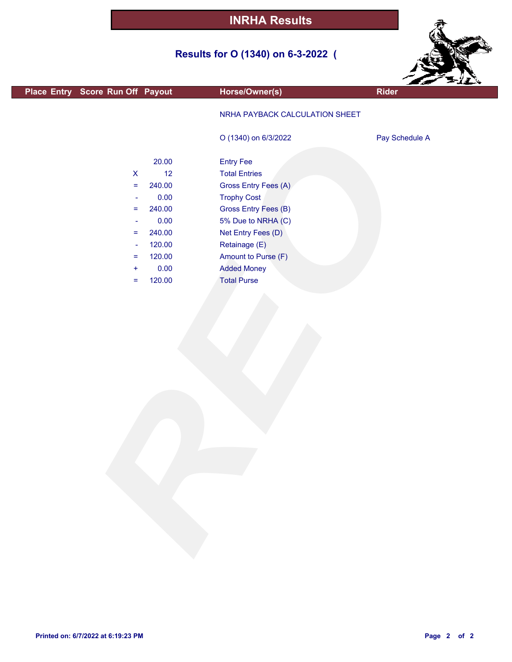# **Results for O (1340) on 6-3-2022 (**



|                                  |        |                                |                | $z = 11$ |
|----------------------------------|--------|--------------------------------|----------------|----------|
| Place Entry Score Run Off Payout |        | Horse/Owner(s)                 | <b>Rider</b>   |          |
|                                  |        |                                |                |          |
|                                  |        |                                |                |          |
|                                  |        | NRHA PAYBACK CALCULATION SHEET |                |          |
|                                  |        |                                |                |          |
|                                  |        | O (1340) on 6/3/2022           | Pay Schedule A |          |
|                                  |        |                                |                |          |
|                                  | 20.00  | <b>Entry Fee</b>               |                |          |
|                                  | 12     |                                |                |          |
| $\pmb{\mathsf{X}}$               |        | <b>Total Entries</b>           |                |          |
| $=$                              | 240.00 | Gross Entry Fees (A)           |                |          |
| $\overline{\phantom{a}}$         | 0.00   | <b>Trophy Cost</b>             |                |          |
| $=$                              | 240.00 | Gross Entry Fees (B)           |                |          |
| $\overline{\phantom{a}}$         | 0.00   | 5% Due to NRHA (C)             |                |          |
| $=$                              | 240.00 | Net Entry Fees (D)             |                |          |
|                                  |        |                                |                |          |
| $\blacksquare$                   | 120.00 | Retainage (E)                  |                |          |
| $\equiv$                         | 120.00 | Amount to Purse (F)            |                |          |
| ÷                                | 0.00   | <b>Added Money</b>             |                |          |
| =                                | 120.00 | <b>Total Purse</b>             |                |          |
|                                  |        |                                |                |          |
|                                  |        |                                |                |          |
|                                  |        |                                |                |          |
|                                  |        |                                |                |          |
|                                  |        |                                |                |          |
|                                  |        |                                |                |          |
|                                  |        |                                |                |          |
|                                  |        |                                |                |          |
|                                  |        |                                |                |          |
|                                  |        |                                |                |          |
|                                  |        |                                |                |          |
|                                  |        |                                |                |          |
|                                  |        |                                |                |          |
|                                  |        |                                |                |          |
|                                  |        |                                |                |          |
|                                  |        |                                |                |          |
|                                  |        |                                |                |          |
|                                  |        |                                |                |          |
|                                  |        |                                |                |          |
|                                  |        |                                |                |          |
|                                  |        |                                |                |          |
|                                  |        |                                |                |          |
|                                  |        |                                |                |          |
|                                  |        |                                |                |          |
|                                  |        |                                |                |          |
|                                  |        |                                |                |          |
|                                  |        |                                |                |          |
|                                  |        |                                |                |          |
|                                  |        |                                |                |          |

L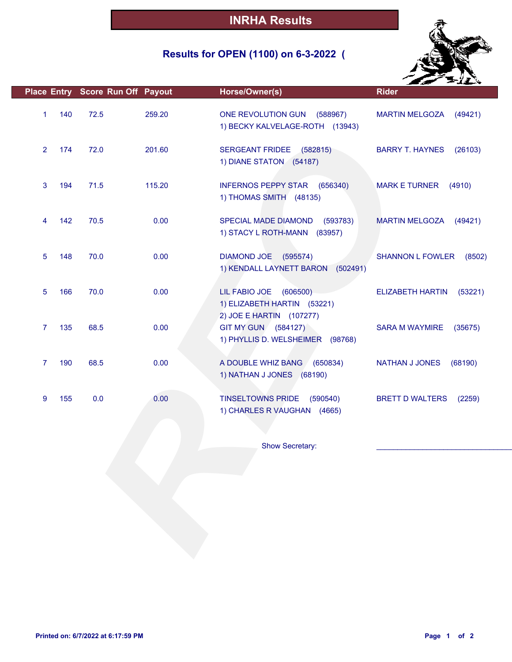## **Results for OPEN (1100) on 6-3-2022 (**



|                |     | Place Entry Score Run Off Payout |        | Horse/Owner(s)                                                                    | <b>Rider</b>                       |
|----------------|-----|----------------------------------|--------|-----------------------------------------------------------------------------------|------------------------------------|
| 1              | 140 | 72.5                             | 259.20 | ONE REVOLUTION GUN (588967)<br>1) BECKY KALVELAGE-ROTH (13943)                    | <b>MARTIN MELGOZA</b><br>(49421)   |
| $\overline{2}$ | 174 | 72.0                             | 201.60 | <b>SERGEANT FRIDEE</b><br>(582815)<br>1) DIANE STATON (54187)                     | <b>BARRY T. HAYNES</b><br>(26103)  |
| 3              | 194 | 71.5                             | 115.20 | <b>INFERNOS PEPPY STAR</b><br>(656340)<br>1) THOMAS SMITH (48135)                 | <b>MARK E TURNER</b><br>(4910)     |
| 4              | 142 | 70.5                             | 0.00   | SPECIAL MADE DIAMOND<br>(593783)<br>1) STACY L ROTH-MANN (83957)                  | <b>MARTIN MELGOZA</b><br>(49421)   |
| 5              | 148 | 70.0                             | 0.00   | DIAMOND JOE (595574)<br>1) KENDALL LAYNETT BARON<br>(502491)                      | <b>SHANNON L FOWLER</b><br>(8502)  |
| 5              | 166 | 70.0                             | 0.00   | LIL FABIO JOE (606500)<br>1) ELIZABETH HARTIN (53221)<br>2) JOE E HARTIN (107277) | <b>ELIZABETH HARTIN</b><br>(53221) |
| 7              | 135 | 68.5                             | 0.00   | GIT MY GUN (584127)<br>1) PHYLLIS D. WELSHEIMER (98768)                           | <b>SARA M WAYMIRE</b><br>(35675)   |
| $\overline{7}$ | 190 | 68.5                             | 0.00   | A DOUBLE WHIZ BANG<br>(650834)<br>1) NATHAN J JONES (68190)                       | NATHAN J JONES<br>(68190)          |
| 9              | 155 | 0.0                              | 0.00   | <b>TINSELTOWNS PRIDE</b><br>(590540)<br>1) CHARLES R VAUGHAN (4665)               | <b>BRETT D WALTERS</b><br>(2259)   |
|                |     |                                  |        | Show Secretary:                                                                   |                                    |
|                |     |                                  |        |                                                                                   |                                    |
|                |     |                                  |        |                                                                                   |                                    |
|                |     |                                  |        |                                                                                   |                                    |
|                |     |                                  |        |                                                                                   |                                    |
|                |     |                                  |        |                                                                                   |                                    |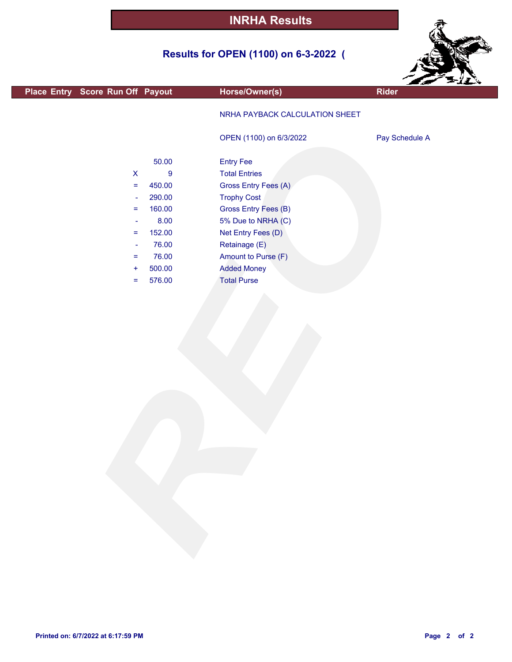## **Results for OPEN (1100) on 6-3-2022 (**



|                                  |                  |                                |                | $\sim$ $\sim$ $\sim$ |
|----------------------------------|------------------|--------------------------------|----------------|----------------------|
| Place Entry Score Run Off Payout |                  | Horse/Owner(s)                 | <b>Rider</b>   |                      |
|                                  |                  | NRHA PAYBACK CALCULATION SHEET |                |                      |
|                                  |                  | OPEN (1100) on 6/3/2022        | Pay Schedule A |                      |
|                                  | 50.00            | <b>Entry Fee</b>               |                |                      |
| $\pmb{\mathsf{X}}$               | $\boldsymbol{9}$ | <b>Total Entries</b>           |                |                      |
| $\equiv$                         | 450.00           | Gross Entry Fees (A)           |                |                      |
| $\overline{\phantom{a}}$         | 290.00           | <b>Trophy Cost</b>             |                |                      |
| $\equiv$                         | 160.00           | Gross Entry Fees (B)           |                |                      |
| $\blacksquare$                   | 8.00             | 5% Due to NRHA (C)             |                |                      |
| $=$                              | 152.00           | Net Entry Fees (D)             |                |                      |
| $\blacksquare$                   | 76.00            | Retainage (E)                  |                |                      |
| $=$                              | 76.00            | Amount to Purse (F)            |                |                      |
| $\ddot{}$                        | 500.00           | <b>Added Money</b>             |                |                      |
| $\equiv$                         | 576.00           | <b>Total Purse</b>             |                |                      |
|                                  |                  |                                |                |                      |
|                                  |                  |                                |                |                      |
|                                  |                  |                                |                |                      |
|                                  |                  |                                |                |                      |
|                                  |                  |                                |                |                      |
|                                  |                  |                                |                |                      |
|                                  |                  |                                |                |                      |
|                                  |                  |                                |                |                      |
|                                  |                  |                                |                |                      |
|                                  |                  |                                |                |                      |
|                                  |                  |                                |                |                      |
|                                  |                  |                                |                |                      |
|                                  |                  |                                |                |                      |
|                                  |                  |                                |                |                      |
|                                  |                  |                                |                |                      |
|                                  |                  |                                |                |                      |
|                                  |                  |                                |                |                      |
|                                  |                  |                                |                |                      |
|                                  |                  |                                |                |                      |
|                                  |                  |                                |                |                      |
|                                  |                  |                                |                |                      |
|                                  |                  |                                |                |                      |
|                                  |                  |                                |                |                      |

г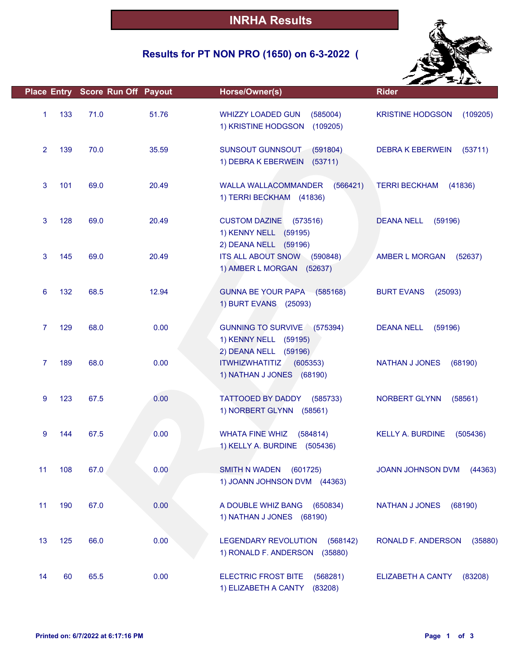## **Results for PT NON PRO (1650) on 6-3-2022 (**



|                       | Place Entry Score Run Off Payout |       | Horse/Owner(s)                                                                          | <b>Rider</b>                        |
|-----------------------|----------------------------------|-------|-----------------------------------------------------------------------------------------|-------------------------------------|
| 133<br>$\mathbf{1}$   | 71.0                             | 51.76 | <b>WHIZZY LOADED GUN</b><br>(585004)<br>1) KRISTINE HODGSON<br>(109205)                 | <b>KRISTINE HODGSON</b><br>(109205) |
| $\overline{2}$<br>139 | 70.0                             | 35.59 | SUNSOUT GUNNSOUT<br>(591804)<br>1) DEBRA K EBERWEIN<br>(53711)                          | <b>DEBRA K EBERWEIN</b><br>(53711)  |
| 3<br>101              | 69.0                             | 20.49 | <b>WALLA WALLACOMMANDER</b><br>(566421)<br>1) TERRI BECKHAM (41836)                     | <b>TERRI BECKHAM</b><br>(41836)     |
| 3<br>128              | 69.0                             | 20.49 | <b>CUSTOM DAZINE</b><br>(573516)<br>1) KENNY NELL (59195)<br>2) DEANA NELL (59196)      | <b>DEANA NELL</b><br>(59196)        |
| 3<br>145              | 69.0                             | 20.49 | ITS ALL ABOUT SNOW (590848)<br>1) AMBER L MORGAN (52637)                                | <b>AMBER L MORGAN</b><br>(52637)    |
| 132<br>6              | 68.5                             | 12.94 | GUNNA BE YOUR PAPA (585168)<br>1) BURT EVANS (25093)                                    | <b>BURT EVANS</b><br>(25093)        |
| $\overline{7}$<br>129 | 68.0                             | 0.00  | GUNNING TO SURVIVE (575394)<br>1) KENNY NELL (59195)                                    | <b>DEANA NELL</b><br>(59196)        |
| $\overline{7}$<br>189 | 68.0                             | 0.00  | 2) DEANA NELL (59196)<br><b>ITWHIZWHATITIZ</b><br>(605353)<br>1) NATHAN J JONES (68190) | <b>NATHAN J JONES</b><br>(68190)    |
| 123<br>9              | 67.5                             | 0.00  | TATTOOED BY DADDY<br>(585733)<br>1) NORBERT GLYNN (58561)                               | <b>NORBERT GLYNN</b><br>(58561)     |
| 9<br>144              | 67.5                             | 0.00  | <b>WHATA FINE WHIZ</b><br>(584814)<br>1) KELLY A. BURDINE (505436)                      | <b>KELLY A. BURDINE</b><br>(505436) |
| 11<br>108             | 67.0                             | 0.00  | <b>SMITH N WADEN</b><br>(601725)<br>1) JOANN JOHNSON DVM (44363)                        | JOANN JOHNSON DVM<br>(44363)        |
| 190<br>11             | 67.0                             | 0.00  | A DOUBLE WHIZ BANG<br>(650834)<br>1) NATHAN J JONES (68190)                             | <b>NATHAN J JONES</b><br>(68190)    |
| 13<br>125             | 66.0                             | 0.00  | <b>LEGENDARY REVOLUTION</b><br>(568142)<br>1) RONALD F. ANDERSON<br>(35880)             | RONALD F. ANDERSON<br>(35880)       |
| 60<br>14              | 65.5                             | 0.00  | <b>ELECTRIC FROST BITE</b><br>(568281)<br>1) ELIZABETH A CANTY<br>(83208)               | ELIZABETH A CANTY<br>(83208)        |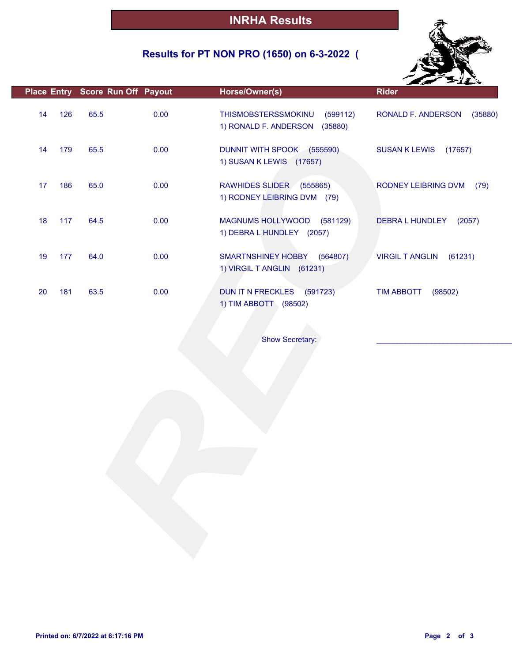## **Results for PT NON PRO (1650) on 6-3-2022 (**



|    |     |      | Place Entry Score Run Off Payout | Horse/Owner(s)                                                      | <b>Rider</b>                      |
|----|-----|------|----------------------------------|---------------------------------------------------------------------|-----------------------------------|
| 14 | 126 | 65.5 | 0.00                             | THISMOBSTERSSMOKINU<br>(599112)<br>1) RONALD F. ANDERSON<br>(35880) | RONALD F. ANDERSON<br>(35880)     |
| 14 | 179 | 65.5 | 0.00                             | DUNNIT WITH SPOOK (555590)<br>1) SUSAN K LEWIS (17657)              | <b>SUSAN K LEWIS</b><br>(17657)   |
| 17 | 186 | 65.0 | 0.00                             | RAWHIDES SLIDER (555865)<br>1) RODNEY LEIBRING DVM (79)             | RODNEY LEIBRING DVM<br>(79)       |
| 18 | 117 | 64.5 | 0.00                             | MAGNUMS HOLLYWOOD (581129)<br>1) DEBRA L HUNDLEY (2057)             | <b>DEBRA L HUNDLEY</b><br>(2057)  |
| 19 | 177 | 64.0 | 0.00                             | SMARTNSHINEY HOBBY<br>(564807)<br>1) VIRGIL T ANGLIN (61231)        | <b>VIRGIL T ANGLIN</b><br>(61231) |
| 20 | 181 | 63.5 | 0.00                             | (591723)<br>DUN IT N FRECKLES<br>1) TIM ABBOTT (98502)              | <b>TIM ABBOTT</b><br>(98502)      |
|    |     |      |                                  |                                                                     |                                   |
|    |     |      |                                  | Show Secretary:                                                     |                                   |
|    |     |      |                                  |                                                                     |                                   |
|    |     |      |                                  |                                                                     |                                   |
|    |     |      |                                  |                                                                     |                                   |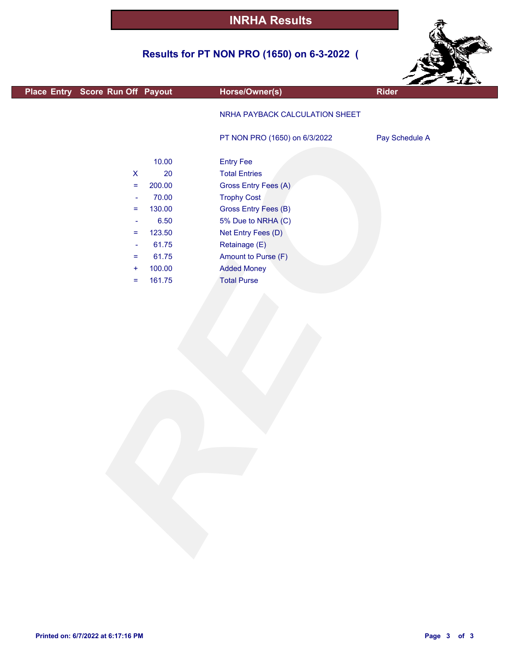## **Results for PT NON PRO (1650) on 6-3-2022 (**



| Place Entry Score Run Off Payout                                                                                                                                                                                                                                                     | Horse/Owner(s)                                                                                                                                                                                                                                 | <b>Rider</b>   |
|--------------------------------------------------------------------------------------------------------------------------------------------------------------------------------------------------------------------------------------------------------------------------------------|------------------------------------------------------------------------------------------------------------------------------------------------------------------------------------------------------------------------------------------------|----------------|
|                                                                                                                                                                                                                                                                                      | NRHA PAYBACK CALCULATION SHEET                                                                                                                                                                                                                 |                |
|                                                                                                                                                                                                                                                                                      | PT NON PRO (1650) on 6/3/2022                                                                                                                                                                                                                  | Pay Schedule A |
| 10.00<br>$20\,$<br>$\boldsymbol{\mathsf{X}}$<br>200.00<br>$\equiv$<br>70.00<br>$\overline{\phantom{a}}$<br>130.00<br>$\equiv$<br>6.50<br>$\overline{\phantom{a}}$<br>123.50<br>$\equiv$<br>61.75<br>$\blacksquare$<br>61.75<br>$\equiv$<br>100.00<br>$\ddot{}$<br>161.75<br>$\equiv$ | <b>Entry Fee</b><br><b>Total Entries</b><br>Gross Entry Fees (A)<br><b>Trophy Cost</b><br>Gross Entry Fees (B)<br>5% Due to NRHA (C)<br>Net Entry Fees (D)<br>Retainage (E)<br>Amount to Purse (F)<br><b>Added Money</b><br><b>Total Purse</b> |                |
|                                                                                                                                                                                                                                                                                      |                                                                                                                                                                                                                                                |                |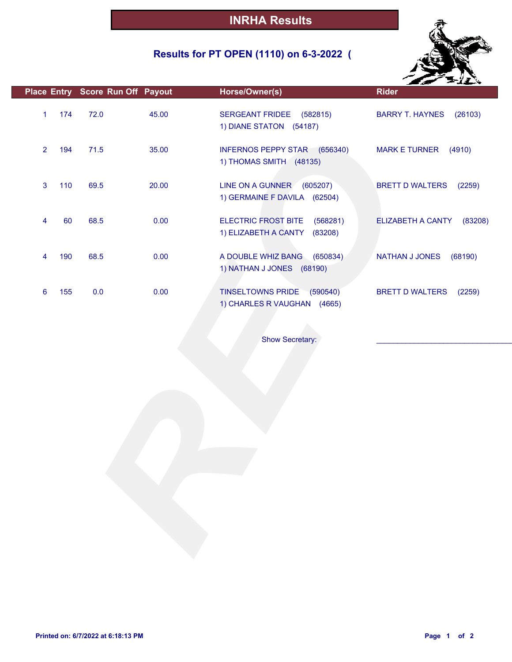## **Results for PT OPEN (1110) on 6-3-2022 (**



|                | Place Entry Score Run Off Payout |       | Horse/Owner(s)                                                      | <b>Rider</b>                      |
|----------------|----------------------------------|-------|---------------------------------------------------------------------|-----------------------------------|
| $\mathbf{1}$   | 174<br>72.0                      | 45.00 | SERGEANT FRIDEE (582815)<br>1) DIANE STATON (54187)                 | <b>BARRY T. HAYNES</b><br>(26103) |
| $\overline{2}$ | 194<br>71.5                      | 35.00 | INFERNOS PEPPY STAR (656340)<br>1) THOMAS SMITH (48135)             | <b>MARK E TURNER</b><br>(4910)    |
| 3              | 110<br>69.5                      | 20.00 | LINE ON A GUNNER (605207)<br>1) GERMAINE F DAVILA (62504)           | <b>BRETT D WALTERS</b><br>(2259)  |
| 4              | 60<br>68.5                       | 0.00  | ELECTRIC FROST BITE<br>(568281)<br>1) ELIZABETH A CANTY<br>(83208)  | ELIZABETH A CANTY<br>(83208)      |
| 4              | 68.5<br>190                      | 0.00  | A DOUBLE WHIZ BANG<br>(650834)<br>1) NATHAN J JONES (68190)         | <b>NATHAN J JONES</b><br>(68190)  |
| 6              | 0.0<br>155                       | 0.00  | (590540)<br><b>TINSELTOWNS PRIDE</b><br>1) CHARLES R VAUGHAN (4665) | <b>BRETT D WALTERS</b><br>(2259)  |
|                |                                  |       | Show Secretary:                                                     |                                   |
|                |                                  |       |                                                                     |                                   |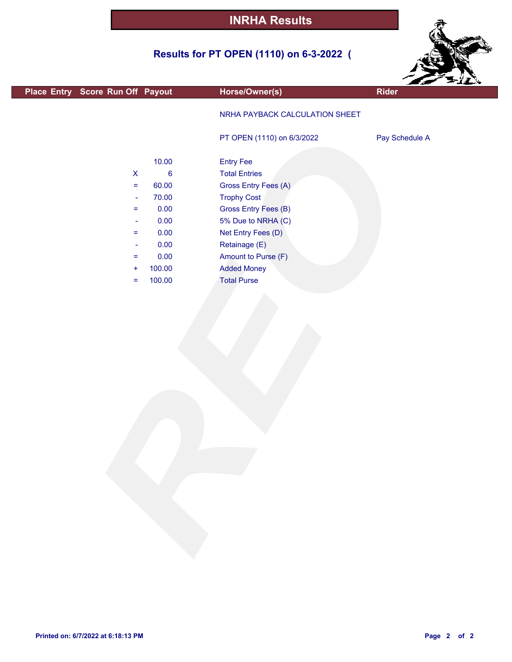## **Results for PT OPEN (1110) on 6-3-2022 (**



| Place Entry Score Run Off Payout              | Horse/Owner(s)                 | <b>Rider</b>   |
|-----------------------------------------------|--------------------------------|----------------|
|                                               |                                |                |
|                                               | NRHA PAYBACK CALCULATION SHEET |                |
|                                               | PT OPEN (1110) on 6/3/2022     | Pay Schedule A |
|                                               |                                |                |
| 10.00                                         | <b>Entry Fee</b>               |                |
| $\boldsymbol{6}$<br>$\boldsymbol{\mathsf{X}}$ | <b>Total Entries</b>           |                |
| 60.00<br>$=$                                  | Gross Entry Fees (A)           |                |
| 70.00<br>$\equiv$                             | <b>Trophy Cost</b>             |                |
| 0.00<br>$=$                                   | Gross Entry Fees (B)           |                |
| 0.00<br>$\blacksquare$                        | 5% Due to NRHA (C)             |                |
| 0.00<br>$=$                                   | Net Entry Fees (D)             |                |
| 0.00<br>$\blacksquare$                        | Retainage (E)                  |                |
| 0.00<br>Ξ                                     | Amount to Purse (F)            |                |
| 100.00<br>$\ddot{}$                           | <b>Added Money</b>             |                |
| 100.00<br>$=$                                 | <b>Total Purse</b>             |                |
|                                               |                                |                |
|                                               |                                |                |
|                                               |                                |                |
|                                               |                                |                |
|                                               |                                |                |
|                                               |                                |                |
|                                               |                                |                |
|                                               |                                |                |
|                                               |                                |                |
|                                               |                                |                |
|                                               |                                |                |
|                                               |                                |                |
|                                               |                                |                |
|                                               |                                |                |
|                                               |                                |                |
|                                               |                                |                |
|                                               |                                |                |
|                                               |                                |                |
|                                               |                                |                |
|                                               |                                |                |
|                                               |                                |                |
|                                               |                                |                |
|                                               |                                |                |
|                                               |                                |                |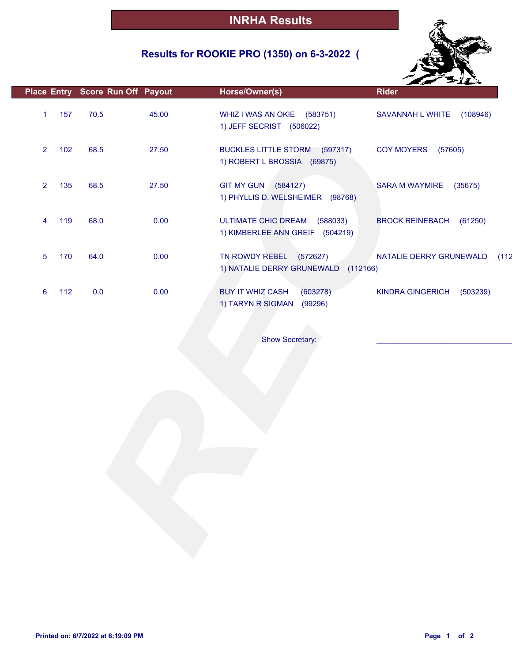## **Results for ROOKIE PRO (1350) on 6-3-2022 (**



|                       |      | Place Entry Score Run Off Payout | Horse/Owner(s)                                                            | <b>Rider</b>                        |
|-----------------------|------|----------------------------------|---------------------------------------------------------------------------|-------------------------------------|
| 157<br>1              | 70.5 | 45.00                            | WHIZ I WAS AN OKIE (583751)<br>1) JEFF SECRIST (506022)                   | SAVANNAH L WHITE<br>(108946)        |
| $\overline{2}$<br>102 | 68.5 | 27.50                            | BUCKLES LITTLE STORM (597317)<br>1) ROBERT L BROSSIA (69875)              | <b>COY MOYERS</b><br>(57605)        |
| 135<br>$\overline{2}$ | 68.5 | 27.50                            | GIT MY GUN (584127)<br>1) PHYLLIS D. WELSHEIMER (98768)                   | <b>SARA M WAYMIRE</b><br>(35675)    |
| 119<br>4              | 68.0 | 0.00                             | <b>ULTIMATE CHIC DREAM</b><br>(588033)<br>1) KIMBERLEE ANN GREIF (504219) | <b>BROCK REINEBACH</b><br>(61250)   |
| 170<br>5              | 64.0 | 0.00                             | TN ROWDY REBEL (572627)<br>1) NATALIE DERRY GRUNEWALD<br>(112166)         | NATALIE DERRY GRUNEWALD<br>(112)    |
| 112<br>6              | 0.0  | 0.00                             | <b>BUY IT WHIZ CASH</b><br>(603278)<br>1) TARYN R SIGMAN<br>(99296)       | <b>KINDRA GINGERICH</b><br>(503239) |
|                       |      |                                  |                                                                           |                                     |
|                       |      |                                  | Show Secretary:                                                           |                                     |
|                       |      |                                  |                                                                           |                                     |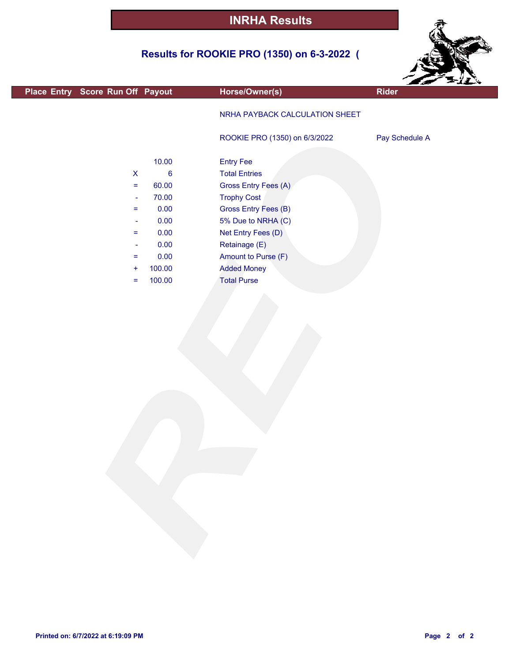## **Results for ROOKIE PRO (1350) on 6-3-2022 (**



| Place Entry Score Run Off Payout |         | Horse/Owner(s)                 | <b>Rider</b>   |
|----------------------------------|---------|--------------------------------|----------------|
|                                  |         |                                |                |
|                                  |         | NRHA PAYBACK CALCULATION SHEET |                |
|                                  |         |                                |                |
|                                  |         | ROOKIE PRO (1350) on 6/3/2022  | Pay Schedule A |
|                                  |         |                                |                |
|                                  | 10.00   | <b>Entry Fee</b>               |                |
| $\boldsymbol{\mathsf{X}}$        | $\bf 6$ | <b>Total Entries</b>           |                |
| $\equiv$                         | 60.00   | Gross Entry Fees (A)           |                |
| $\rightarrow$                    | 70.00   | <b>Trophy Cost</b>             |                |
| $\equiv$                         | 0.00    | Gross Entry Fees (B)           |                |
| $\blacksquare$                   | 0.00    | 5% Due to NRHA (C)             |                |
| $\equiv$                         | 0.00    | Net Entry Fees (D)             |                |
| $\blacksquare$                   | 0.00    | Retainage (E)                  |                |
| $\equiv$                         | 0.00    | Amount to Purse (F)            |                |
| $\ddot{}$                        | 100.00  | <b>Added Money</b>             |                |
| $\equiv$                         | 100.00  | <b>Total Purse</b>             |                |
|                                  |         |                                |                |
|                                  |         |                                |                |
|                                  |         |                                |                |
|                                  |         |                                |                |
|                                  |         |                                |                |
|                                  |         |                                |                |
|                                  |         |                                |                |
|                                  |         |                                |                |
|                                  |         |                                |                |
|                                  |         |                                |                |
|                                  |         |                                |                |
|                                  |         |                                |                |
|                                  |         |                                |                |
|                                  |         |                                |                |
|                                  |         |                                |                |
|                                  |         |                                |                |
|                                  |         |                                |                |
|                                  |         |                                |                |
|                                  |         |                                |                |
|                                  |         |                                |                |
|                                  |         |                                |                |
|                                  |         |                                |                |
|                                  |         |                                |                |

F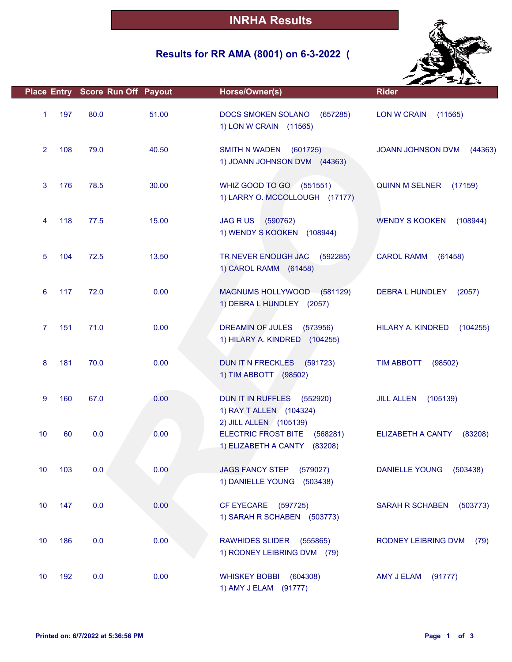#### **Results for RR AMA (8001) on 6-3-2022 (**



|                |     | Place Entry Score Run Off Payout |       | Horse/Owner(s)                                                                     | <b>Rider</b>                      |
|----------------|-----|----------------------------------|-------|------------------------------------------------------------------------------------|-----------------------------------|
| $\mathbf{1}$   | 197 | 80.0                             | 51.00 | DOCS SMOKEN SOLANO<br>(657285)<br>1) LON W CRAIN (11565)                           | <b>LON W CRAIN</b><br>(11565)     |
| $\overline{2}$ | 108 | 79.0                             | 40.50 | <b>SMITH N WADEN</b><br>(601725)<br>1) JOANN JOHNSON DVM (44363)                   | JOANN JOHNSON DVM<br>(44363)      |
| 3              | 176 | 78.5                             | 30.00 | WHIZ GOOD TO GO (551551)<br>1) LARRY O. MCCOLLOUGH (17177)                         | QUINN M SELNER (17159)            |
| 4              | 118 | 77.5                             | 15.00 | <b>JAG R US</b><br>(590762)<br>1) WENDY S KOOKEN<br>(108944)                       | <b>WENDY S KOOKEN</b><br>(108944) |
| 5              | 104 | 72.5                             | 13.50 | TR NEVER ENOUGH JAC<br>(592285)<br>1) CAROL RAMM (61458)                           | <b>CAROL RAMM</b><br>(61458)      |
| 6              | 117 | 72.0                             | 0.00  | MAGNUMS HOLLYWOOD (581129)<br>1) DEBRA L HUNDLEY (2057)                            | DEBRA L HUNDLEY<br>(2057)         |
| $\overline{7}$ | 151 | 71.0                             | 0.00  | <b>DREAMIN OF JULES</b><br>(573956)<br>1) HILARY A. KINDRED (104255)               | HILARY A. KINDRED<br>(104255)     |
| 8              | 181 | 70.0                             | 0.00  | DUN IT N FRECKLES (591723)<br>1) TIM ABBOTT (98502)                                | <b>TIM ABBOTT</b><br>(98502)      |
| 9              | 160 | 67.0                             | 0.00  | DUN IT IN RUFFLES<br>(552920)<br>1) RAY T ALLEN (104324)<br>2) JILL ALLEN (105139) | <b>JILL ALLEN</b><br>(105139)     |
| 10             | 60  | 0.0                              | 0.00  | <b>ELECTRIC FROST BITE</b><br>(568281)<br>1) ELIZABETH A CANTY<br>(83208)          | ELIZABETH A CANTY<br>(83208)      |
| 10             | 103 | 0.0                              | 0.00  | <b>JAGS FANCY STEP</b><br>(579027)<br>1) DANIELLE YOUNG (503438)                   | <b>DANIELLE YOUNG</b><br>(503438) |
| 10             | 147 | 0.0                              | 0.00  | <b>CF EYECARE</b><br>(597725)<br>1) SARAH R SCHABEN (503773)                       | SARAH R SCHABEN<br>(503773)       |
| 10             | 186 | 0.0                              | 0.00  | RAWHIDES SLIDER (555865)<br>1) RODNEY LEIBRING DVM (79)                            | RODNEY LEIBRING DVM<br>(79)       |
| 10             | 192 | 0.0                              | 0.00  | <b>WHISKEY BOBBI</b><br>(604308)<br>1) AMY J ELAM (91777)                          | AMY J ELAM<br>(91777)             |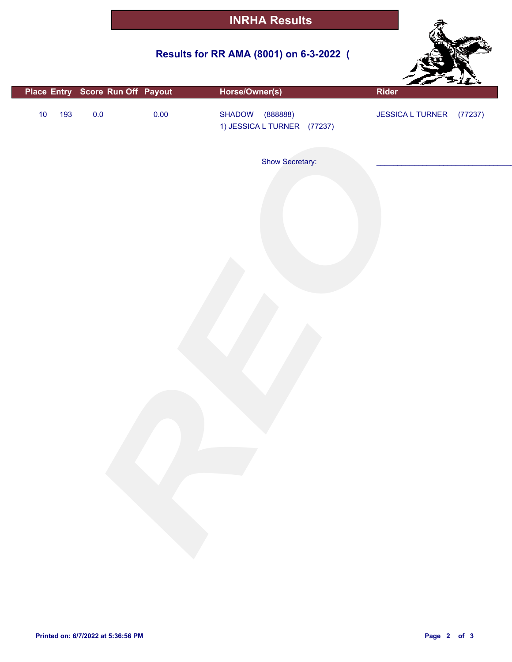## **Results for RR AMA (8001) on 6-3-2022 (**



|             | Place Entry Score Run Off Payout | Horse/Owner(s)                                | Rider                    |
|-------------|----------------------------------|-----------------------------------------------|--------------------------|
| 193<br>$10$ | $0.0\,$<br>0.00                  | SHADOW (88888)<br>1) JESSICA L TURNER (77237) | JESSICA L TURNER (77237) |
|             |                                  | Show Secretary:                               |                          |
|             |                                  |                                               |                          |
|             |                                  |                                               |                          |
|             |                                  |                                               |                          |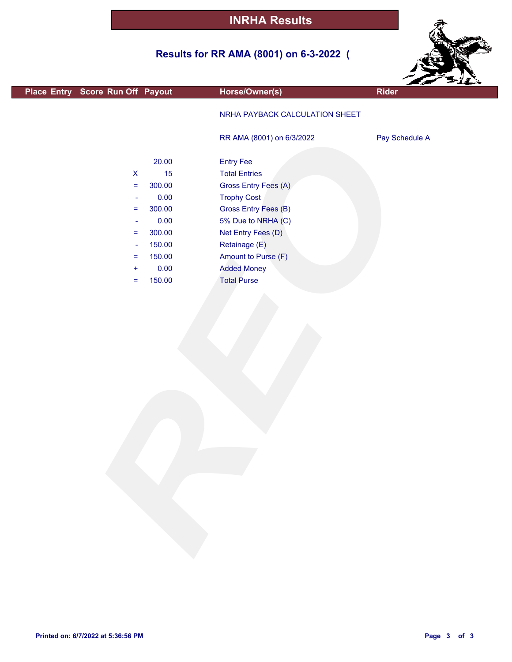## **Results for RR AMA (8001) on 6-3-2022 (**



| Place Entry Score Run Off Payout |        | Horse/Owner(s)                 | ---<br><b>Rider</b> |
|----------------------------------|--------|--------------------------------|---------------------|
|                                  |        |                                |                     |
|                                  |        | NRHA PAYBACK CALCULATION SHEET |                     |
|                                  |        |                                |                     |
|                                  |        | RR AMA (8001) on 6/3/2022      | Pay Schedule A      |
|                                  |        |                                |                     |
|                                  | 20.00  | <b>Entry Fee</b>               |                     |
| $\boldsymbol{\mathsf{X}}$        | 15     | <b>Total Entries</b>           |                     |
| $\equiv$                         | 300.00 | Gross Entry Fees (A)           |                     |
| $\overline{\phantom{a}}$         | 0.00   | <b>Trophy Cost</b>             |                     |
| $\equiv$                         | 300.00 | <b>Gross Entry Fees (B)</b>    |                     |
| $\overline{\phantom{a}}$         | 0.00   | 5% Due to NRHA (C)             |                     |
| $\equiv$                         | 300.00 | Net Entry Fees (D)             |                     |
| $\overline{\phantom{a}}$         | 150.00 | Retainage (E)                  |                     |
| $\equiv$                         | 150.00 | Amount to Purse (F)            |                     |
| $\ddot{}$                        | 0.00   | <b>Added Money</b>             |                     |
| $\equiv$                         | 150.00 | <b>Total Purse</b>             |                     |
|                                  |        |                                |                     |
|                                  |        |                                |                     |
|                                  |        |                                |                     |
|                                  |        |                                |                     |
|                                  |        |                                |                     |
|                                  |        |                                |                     |
|                                  |        |                                |                     |
|                                  |        |                                |                     |
|                                  |        |                                |                     |
|                                  |        |                                |                     |
|                                  |        |                                |                     |
|                                  |        |                                |                     |
|                                  |        |                                |                     |
|                                  |        |                                |                     |
|                                  |        |                                |                     |
|                                  |        |                                |                     |
|                                  |        |                                |                     |
|                                  |        |                                |                     |
|                                  |        |                                |                     |
|                                  |        |                                |                     |
|                                  |        |                                |                     |
|                                  |        |                                |                     |
|                                  |        |                                |                     |

L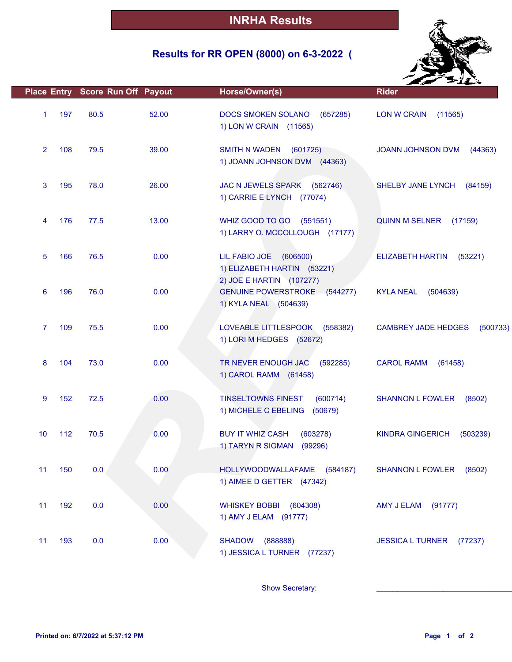## **Results for RR OPEN (8000) on 6-3-2022 (**



|                |     | Place Entry Score Run Off Payout |       | Horse/Owner(s)                                                                       | <b>Rider</b>                           |
|----------------|-----|----------------------------------|-------|--------------------------------------------------------------------------------------|----------------------------------------|
| 1              | 197 | 80.5                             | 52.00 | <b>DOCS SMOKEN SOLANO</b><br>(657285)<br>1) LON W CRAIN (11565)                      | LON W CRAIN<br>(11565)                 |
| $\overline{2}$ | 108 | 79.5                             | 39.00 | <b>SMITH N WADEN</b><br>(601725)<br>1) JOANN JOHNSON DVM (44363)                     | JOANN JOHNSON DVM<br>(44363)           |
| 3              | 195 | 78.0                             | 26.00 | JAC N JEWELS SPARK<br>(562746)<br>1) CARRIE E LYNCH (77074)                          | SHELBY JANE LYNCH<br>(84159)           |
| 4              | 176 | 77.5                             | 13.00 | WHIZ GOOD TO GO<br>(551551)<br>1) LARRY O. MCCOLLOUGH (17177)                        | <b>QUINN M SELNER</b><br>(17159)       |
| 5              | 166 | 76.5                             | 0.00  | LIL FABIO JOE<br>(606500)<br>1) ELIZABETH HARTIN (53221)<br>2) JOE E HARTIN (107277) | <b>ELIZABETH HARTIN</b><br>(53221)     |
| 6              | 196 | 76.0                             | 0.00  | <b>GENUINE POWERSTROKE (544277)</b><br>1) KYLA NEAL (504639)                         | <b>KYLA NEAL</b><br>(504639)           |
| 7              | 109 | 75.5                             | 0.00  | LOVEABLE LITTLESPOOK<br>(558382)<br>1) LORI M HEDGES (52672)                         | <b>CAMBREY JADE HEDGES</b><br>(500733) |
| 8              | 104 | 73.0                             | 0.00  | TR NEVER ENOUGH JAC<br>(592285)<br>1) CAROL RAMM (61458)                             | <b>CAROL RAMM</b><br>(61458)           |
| 9              | 152 | 72.5                             | 0.00  | <b>TINSELTOWNS FINEST</b><br>(600714)<br>1) MICHELE C EBELING<br>(50679)             | <b>SHANNON L FOWLER</b><br>(8502)      |
| 10             | 112 | 70.5                             | 0.00  | <b>BUY IT WHIZ CASH</b><br>(603278)<br>1) TARYN R SIGMAN<br>(99296)                  | <b>KINDRA GINGERICH</b><br>(503239)    |
| 11             | 150 | 0.0                              | 0.00  | HOLLYWOODWALLAFAME (584187)<br>1) AIMEE D GETTER (47342)                             | <b>SHANNON L FOWLER</b><br>(8502)      |
| 11             | 192 | 0.0                              | 0.00  | <b>WHISKEY BOBBI</b><br>(604308)<br>1) AMY J ELAM (91777)                            | (91777)<br>AMY J ELAM                  |
| 11             | 193 | 0.0                              | 0.00  | (888888)<br><b>SHADOW</b><br>1) JESSICA L TURNER (77237)                             | JESSICA L TURNER (77237)               |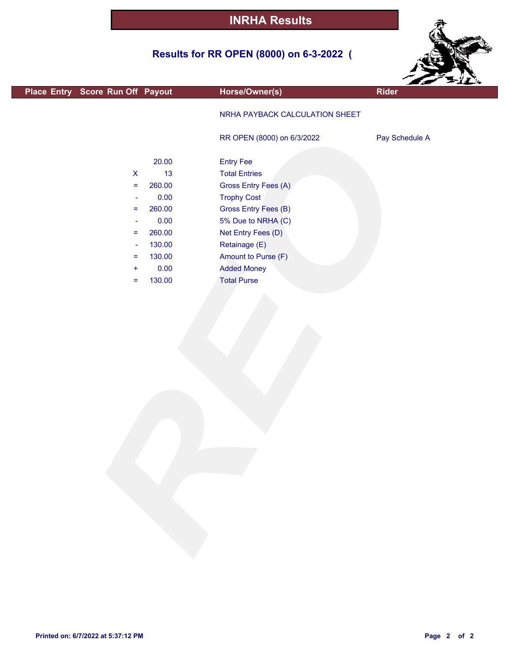## **Results for RR OPEN (8000) on 6-3-2022 (**



| Place Entry Score Run Off Payout |        | Horse/Owner(s)                 | --<br>- *<br><b>Rider</b> |
|----------------------------------|--------|--------------------------------|---------------------------|
|                                  |        |                                |                           |
|                                  |        | NRHA PAYBACK CALCULATION SHEET |                           |
|                                  |        |                                |                           |
|                                  |        | RR OPEN (8000) on 6/3/2022     | Pay Schedule A            |
|                                  |        |                                |                           |
|                                  | 20.00  | <b>Entry Fee</b>               |                           |
| $\pmb{\mathsf{X}}$               | 13     | <b>Total Entries</b>           |                           |
| $\equiv$                         | 260.00 | Gross Entry Fees (A)           |                           |
| $\blacksquare$                   | 0.00   | <b>Trophy Cost</b>             |                           |
| $\equiv$                         | 260.00 | Gross Entry Fees (B)           |                           |
| $\blacksquare$                   | 0.00   | 5% Due to NRHA (C)             |                           |
| $\equiv$                         | 260.00 | Net Entry Fees (D)             |                           |
| $\blacksquare$                   | 130.00 | Retainage (E)                  |                           |
| $\equiv$                         | 130.00 | Amount to Purse (F)            |                           |
| $\ddot{}$                        | 0.00   | <b>Added Money</b>             |                           |
| $\equiv$                         | 130.00 | <b>Total Purse</b>             |                           |
|                                  |        |                                |                           |
|                                  |        |                                |                           |
|                                  |        |                                |                           |
|                                  |        |                                |                           |
|                                  |        |                                |                           |
|                                  |        |                                |                           |
|                                  |        |                                |                           |
|                                  |        |                                |                           |
|                                  |        |                                |                           |
|                                  |        |                                |                           |
|                                  |        |                                |                           |
|                                  |        |                                |                           |
|                                  |        |                                |                           |
|                                  |        |                                |                           |
|                                  |        |                                |                           |
|                                  |        |                                |                           |
|                                  |        |                                |                           |
|                                  |        |                                |                           |
|                                  |        |                                |                           |
|                                  |        |                                |                           |
|                                  |        |                                |                           |
|                                  |        |                                |                           |
|                                  |        |                                |                           |

г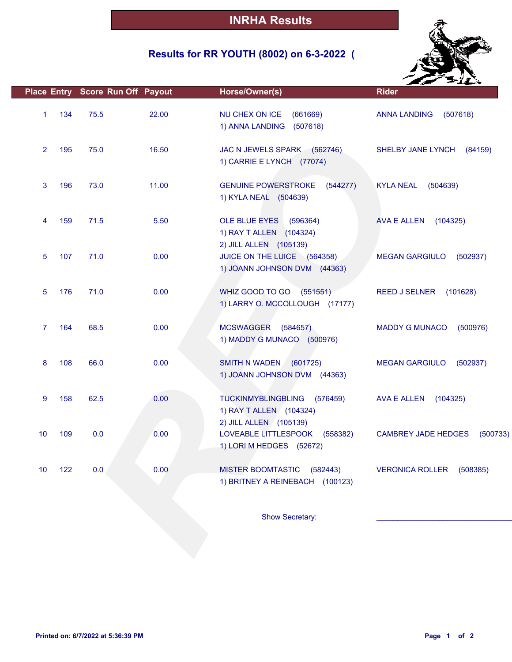## **Results for RR YOUTH (8002) on 6-3-2022 (**



|                |     | Place Entry Score Run Off Payout |       | Horse/Owner(s)                                                                         | <b>Rider</b>                           |
|----------------|-----|----------------------------------|-------|----------------------------------------------------------------------------------------|----------------------------------------|
| $\mathbf{1}$   | 134 | 75.5                             | 22.00 | NU CHEX ON ICE<br>(661669)<br>1) ANNA LANDING<br>(507618)                              | <b>ANNA LANDING</b><br>(507618)        |
| $\overline{2}$ | 195 | 75.0                             | 16.50 | JAC N JEWELS SPARK (562746)<br>1) CARRIE E LYNCH (77074)                               | SHELBY JANE LYNCH<br>(84159)           |
| 3              | 196 | 73.0                             | 11.00 | <b>GENUINE POWERSTROKE</b><br>(544277)<br>1) KYLA NEAL (504639)                        | <b>KYLA NEAL</b><br>(504639)           |
| 4              | 159 | 71.5                             | 5.50  | OLE BLUE EYES (596364)<br>1) RAY T ALLEN (104324)<br>2) JILL ALLEN (105139)            | AVA E ALLEN<br>(104325)                |
| 5              | 107 | 71.0                             | 0.00  | JUICE ON THE LUICE (564358)<br>1) JOANN JOHNSON DVM (44363)                            | <b>MEGAN GARGIULO</b><br>(502937)      |
| 5              | 176 | 71.0                             | 0.00  | WHIZ GOOD TO GO<br>(551551)<br>1) LARRY O. MCCOLLOUGH (17177)                          | (101628)<br><b>REED J SELNER</b>       |
| $\overline{7}$ | 164 | 68.5                             | 0.00  | MCSWAGGER (584657)<br>1) MADDY G MUNACO (500976)                                       | <b>MADDY G MUNACO</b><br>(500976)      |
| 8              | 108 | 66.0                             | 0.00  | SMITH N WADEN<br>(601725)<br>1) JOANN JOHNSON DVM (44363)                              | <b>MEGAN GARGIULO</b><br>(502937)      |
| 9              | 158 | 62.5                             | 0.00  | <b>TUCKINMYBLINGBLING</b><br>(576459)<br>1) RAY T ALLEN (104324)                       | AVA E ALLEN<br>(104325)                |
| 10             | 109 | 0.0                              | 0.00  | 2) JILL ALLEN (105139)<br>LOVEABLE LITTLESPOOK<br>(558382)<br>1) LORI M HEDGES (52672) | <b>CAMBREY JADE HEDGES</b><br>(500733) |
| 10             | 122 | 0.0                              | 0.00  | <b>MISTER BOOMTASTIC</b><br>(582443)<br>1) BRITNEY A REINEBACH (100123)                | <b>VERONICA ROLLER</b><br>(508385)     |
|                |     |                                  |       | Show Secretary:                                                                        |                                        |
|                |     |                                  |       |                                                                                        |                                        |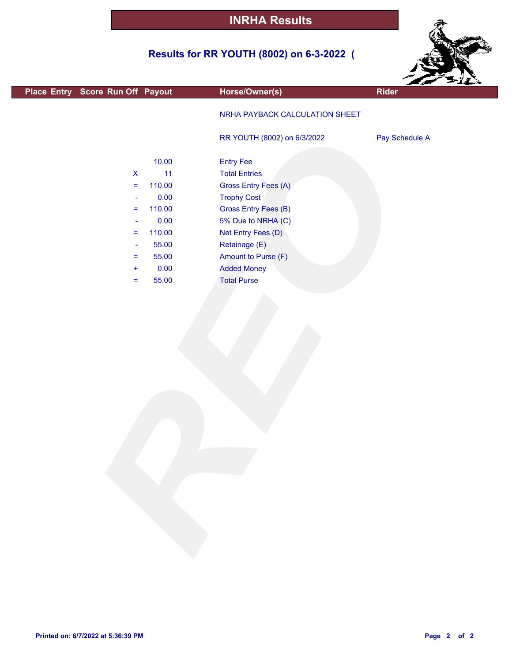## **Results for RR YOUTH (8002) on 6-3-2022 (**



|                                  |        |                                |                | <b>SALLA</b> |
|----------------------------------|--------|--------------------------------|----------------|--------------|
| Place Entry Score Run Off Payout |        | Horse/Owner(s)                 | Rider          |              |
|                                  |        | NRHA PAYBACK CALCULATION SHEET |                |              |
|                                  |        | RR YOUTH (8002) on 6/3/2022    | Pay Schedule A |              |
|                                  | 10.00  | <b>Entry Fee</b>               |                |              |
| $\pmb{\mathsf{X}}$               | 11     | <b>Total Entries</b>           |                |              |
| $\equiv$                         | 110.00 | Gross Entry Fees (A)           |                |              |
| $\overline{\phantom{a}}$         | 0.00   | <b>Trophy Cost</b>             |                |              |
| $\equiv$                         | 110.00 | <b>Gross Entry Fees (B)</b>    |                |              |
| $\blacksquare$                   | 0.00   | 5% Due to NRHA (C)             |                |              |
| $\equiv$                         | 110.00 | Net Entry Fees (D)             |                |              |
| $\blacksquare$                   | 55.00  | Retainage (E)                  |                |              |
| Ξ                                | 55.00  | Amount to Purse (F)            |                |              |
| $\pm$                            | 0.00   | <b>Added Money</b>             |                |              |
| $=$                              | 55.00  | <b>Total Purse</b>             |                |              |
|                                  |        |                                |                |              |
|                                  |        |                                |                |              |

г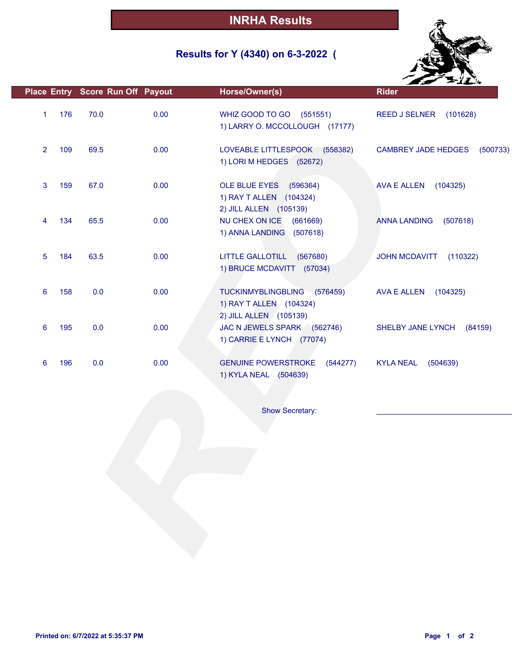## **Results for Y (4340) on 6-3-2022 (**



| 176<br>70.0<br>0.00<br>WHIZ GOOD TO GO (551551)<br>$\mathbf{1}$<br><b>REED J SELNER</b><br>(101628)<br>1) LARRY O. MCCOLLOUGH (17177)<br>109<br>69.5<br>0.00<br>$\overline{2}$<br>LOVEABLE LITTLESPOOK (558382)<br><b>CAMBREY JADE HEDGES</b><br>(500733)<br>1) LORI M HEDGES (52672)<br>67.0<br>0.00<br>3<br>159<br>OLE BLUE EYES (596364)<br><b>AVA E ALLEN</b><br>(104325)<br>1) RAY T ALLEN (104324)<br>2) JILL ALLEN (105139)<br>65.5<br>0.00<br>NU CHEX ON ICE<br>134<br>(661669)<br><b>ANNA LANDING</b><br>(507618)<br>4<br>1) ANNA LANDING<br>(507618)<br>63.5<br>0.00<br><b>LITTLE GALLOTILL</b><br>(567680)<br>5<br>184<br><b>JOHN MCDAVITT</b><br>(110322)<br>1) BRUCE MCDAVITT (57034)<br>0.0<br>0.00<br>6<br>158<br>TUCKINMYBLINGBLING (576459)<br>AVA E ALLEN<br>(104325)<br>1) RAY T ALLEN (104324)<br>2) JILL ALLEN (105139)<br>195<br>0.0<br>0.00<br>JAC N JEWELS SPARK (562746)<br>6<br>SHELBY JANE LYNCH<br>(84159)<br>1) CARRIE E LYNCH (77074)<br>0.0<br>0.00<br><b>GENUINE POWERSTROKE</b><br>6<br>196<br><b>KYLA NEAL</b><br>(504639)<br>(544277)<br>1) KYLA NEAL (504639)<br>Show Secretary: | Place Entry Score Run Off Payout | Horse/Owner(s) | <b>Rider</b> |
|----------------------------------------------------------------------------------------------------------------------------------------------------------------------------------------------------------------------------------------------------------------------------------------------------------------------------------------------------------------------------------------------------------------------------------------------------------------------------------------------------------------------------------------------------------------------------------------------------------------------------------------------------------------------------------------------------------------------------------------------------------------------------------------------------------------------------------------------------------------------------------------------------------------------------------------------------------------------------------------------------------------------------------------------------------------------------------------------------------------------|----------------------------------|----------------|--------------|
|                                                                                                                                                                                                                                                                                                                                                                                                                                                                                                                                                                                                                                                                                                                                                                                                                                                                                                                                                                                                                                                                                                                      |                                  |                |              |
|                                                                                                                                                                                                                                                                                                                                                                                                                                                                                                                                                                                                                                                                                                                                                                                                                                                                                                                                                                                                                                                                                                                      |                                  |                |              |
|                                                                                                                                                                                                                                                                                                                                                                                                                                                                                                                                                                                                                                                                                                                                                                                                                                                                                                                                                                                                                                                                                                                      |                                  |                |              |
|                                                                                                                                                                                                                                                                                                                                                                                                                                                                                                                                                                                                                                                                                                                                                                                                                                                                                                                                                                                                                                                                                                                      |                                  |                |              |
|                                                                                                                                                                                                                                                                                                                                                                                                                                                                                                                                                                                                                                                                                                                                                                                                                                                                                                                                                                                                                                                                                                                      |                                  |                |              |
|                                                                                                                                                                                                                                                                                                                                                                                                                                                                                                                                                                                                                                                                                                                                                                                                                                                                                                                                                                                                                                                                                                                      |                                  |                |              |
|                                                                                                                                                                                                                                                                                                                                                                                                                                                                                                                                                                                                                                                                                                                                                                                                                                                                                                                                                                                                                                                                                                                      |                                  |                |              |
|                                                                                                                                                                                                                                                                                                                                                                                                                                                                                                                                                                                                                                                                                                                                                                                                                                                                                                                                                                                                                                                                                                                      |                                  |                |              |
|                                                                                                                                                                                                                                                                                                                                                                                                                                                                                                                                                                                                                                                                                                                                                                                                                                                                                                                                                                                                                                                                                                                      |                                  |                |              |
|                                                                                                                                                                                                                                                                                                                                                                                                                                                                                                                                                                                                                                                                                                                                                                                                                                                                                                                                                                                                                                                                                                                      |                                  |                |              |
|                                                                                                                                                                                                                                                                                                                                                                                                                                                                                                                                                                                                                                                                                                                                                                                                                                                                                                                                                                                                                                                                                                                      |                                  |                |              |
|                                                                                                                                                                                                                                                                                                                                                                                                                                                                                                                                                                                                                                                                                                                                                                                                                                                                                                                                                                                                                                                                                                                      |                                  |                |              |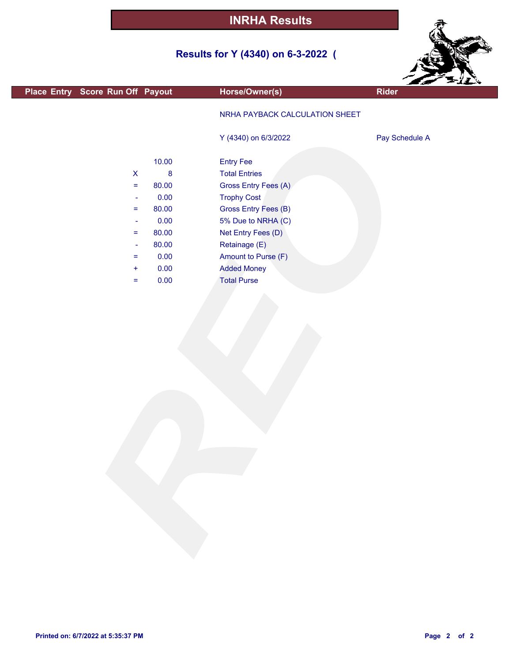# **Results for Y (4340) on 6-3-2022 (**



|                                  |                  |                                | $z = 11$       |
|----------------------------------|------------------|--------------------------------|----------------|
| Place Entry Score Run Off Payout |                  | Horse/Owner(s)                 | <b>Rider</b>   |
|                                  |                  | NRHA PAYBACK CALCULATION SHEET |                |
|                                  |                  | Y (4340) on 6/3/2022           | Pay Schedule A |
|                                  | 10.00            | <b>Entry Fee</b>               |                |
| $\pmb{\mathsf{X}}$               | $\boldsymbol{8}$ | <b>Total Entries</b>           |                |
| $=$                              | 80.00            | Gross Entry Fees (A)           |                |
| ÷                                | 0.00             | <b>Trophy Cost</b>             |                |
| $=$                              | 80.00            | Gross Entry Fees (B)           |                |
| $\overline{\phantom{a}}$         | 0.00             | 5% Due to NRHA (C)             |                |
| $=$                              | 80.00            | Net Entry Fees (D)             |                |
| $\overline{\phantom{a}}$         | 80.00            | Retainage (E)                  |                |
| $=$                              | 0.00             | Amount to Purse (F)            |                |
| $\ddot{}$                        | 0.00             | <b>Added Money</b>             |                |
| $=$                              | 0.00             | <b>Total Purse</b>             |                |
|                                  |                  |                                |                |

г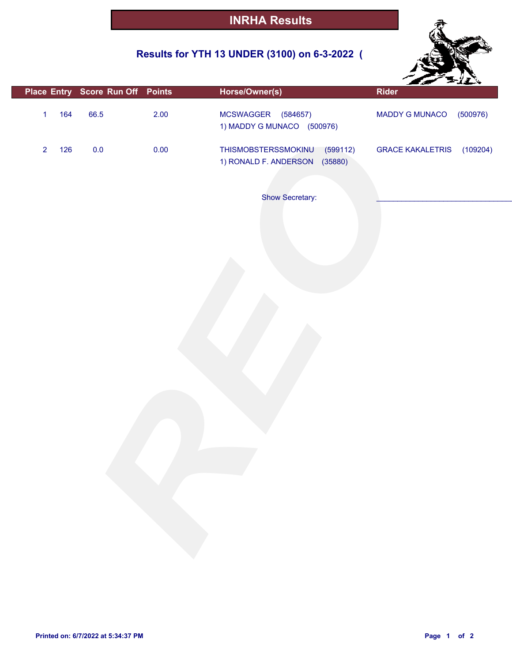## **Results for YTH 13 UNDER (3100) on 6-3-2022 (**



|                |     |         | Place Entry Score Run Off Points | Horse/Owner(s)                                                   | Rider                               |
|----------------|-----|---------|----------------------------------|------------------------------------------------------------------|-------------------------------------|
| $\mathbf{1}$   | 164 | 66.5    | 2.00                             | MCSWAGGER (584657)<br>1) MADDY G MUNACO (500976)                 | (500976)<br>MADDY G MUNACO          |
| $\overline{2}$ | 126 | $0.0\,$ | 0.00                             | THISMOBSTERSSMOKINU<br>(599112)<br>1) RONALD F. ANDERSON (35880) | <b>GRACE KAKALETRIS</b><br>(109204) |
|                |     |         |                                  | Show Secretary:                                                  |                                     |
|                |     |         |                                  |                                                                  |                                     |
|                |     |         |                                  |                                                                  |                                     |
|                |     |         |                                  |                                                                  |                                     |
|                |     |         |                                  |                                                                  |                                     |
|                |     |         |                                  |                                                                  |                                     |
|                |     |         |                                  |                                                                  |                                     |
|                |     |         |                                  |                                                                  |                                     |
|                |     |         |                                  |                                                                  |                                     |
|                |     |         |                                  |                                                                  |                                     |
|                |     |         |                                  |                                                                  |                                     |
|                |     |         |                                  |                                                                  |                                     |
|                |     |         |                                  |                                                                  |                                     |
|                |     |         |                                  |                                                                  |                                     |

F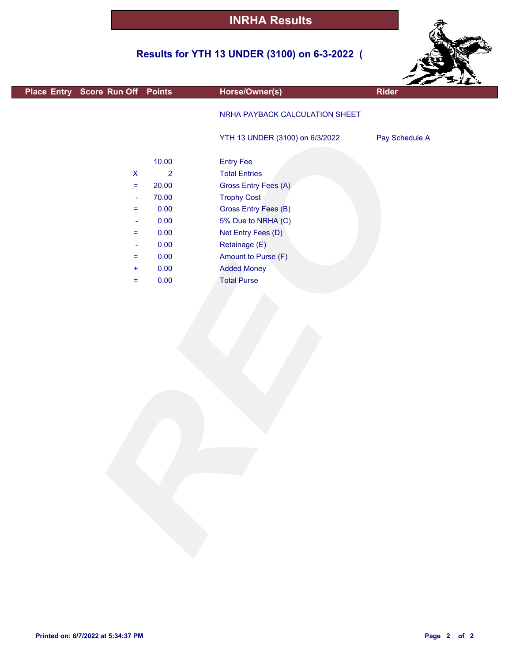## **Results for YTH 13 UNDER (3100) on 6-3-2022 (**



|                                  |                                      |                                 |                | $z = 11$ |
|----------------------------------|--------------------------------------|---------------------------------|----------------|----------|
| Place Entry Score Run Off Points |                                      | Horse/Owner(s)                  | <b>Rider</b>   |          |
|                                  |                                      | NRHA PAYBACK CALCULATION SHEET  |                |          |
|                                  |                                      | YTH 13 UNDER (3100) on 6/3/2022 | Pay Schedule A |          |
|                                  | 10.00                                | <b>Entry Fee</b>                |                |          |
|                                  | $\overline{2}$<br>$\pmb{\mathsf{X}}$ | <b>Total Entries</b>            |                |          |
|                                  | 20.00<br>$=$                         | Gross Entry Fees (A)            |                |          |
|                                  | 70.00<br>÷                           | <b>Trophy Cost</b>              |                |          |
|                                  | 0.00<br>$=$                          | <b>Gross Entry Fees (B)</b>     |                |          |
|                                  | 0.00<br>$\overline{\phantom{a}}$     | 5% Due to NRHA (C)              |                |          |
|                                  | 0.00<br>$=$                          | Net Entry Fees (D)              |                |          |
|                                  | 0.00<br>$\blacksquare$               | Retainage (E)                   |                |          |
|                                  | 0.00<br>$=$                          | Amount to Purse (F)             |                |          |
|                                  | 0.00<br>÷                            | <b>Added Money</b>              |                |          |
|                                  | 0.00<br>$=$                          | <b>Total Purse</b>              |                |          |
|                                  |                                      |                                 |                |          |

F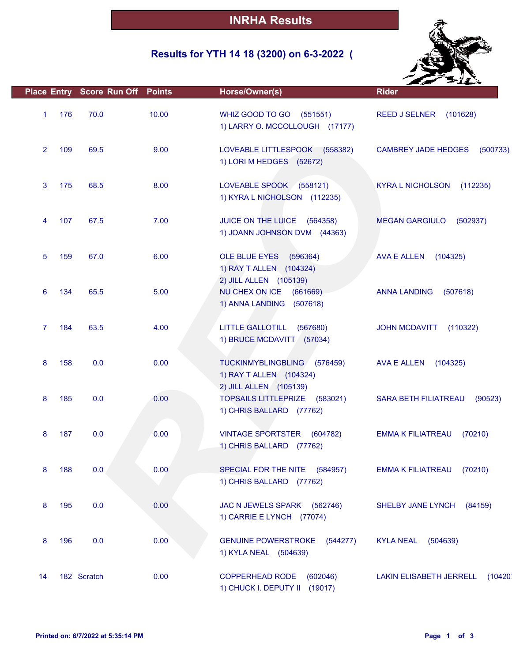## **Results for YTH 14 18 (3200) on 6-3-2022 (**



|                |     | <b>Place Entry Score Run Off Points</b> |       | Horse/Owner(s)                                                                             | <b>Rider</b>                              |
|----------------|-----|-----------------------------------------|-------|--------------------------------------------------------------------------------------------|-------------------------------------------|
| 1              | 176 | 70.0                                    | 10.00 | WHIZ GOOD TO GO (551551)<br>1) LARRY O. MCCOLLOUGH (17177)                                 | <b>REED J SELNER</b><br>(101628)          |
| $\overline{2}$ | 109 | 69.5                                    | 9.00  | LOVEABLE LITTLESPOOK (558382)<br>1) LORI M HEDGES (52672)                                  | <b>CAMBREY JADE HEDGES</b><br>(500733)    |
| 3              | 175 | 68.5                                    | 8.00  | LOVEABLE SPOOK (558121)<br>1) KYRA L NICHOLSON (112235)                                    | <b>KYRA L NICHOLSON</b><br>(112235)       |
| 4              | 107 | 67.5                                    | 7.00  | JUICE ON THE LUICE (564358)<br>1) JOANN JOHNSON DVM (44363)                                | <b>MEGAN GARGIULO</b><br>(502937)         |
| 5              | 159 | 67.0                                    | 6.00  | OLE BLUE EYES<br>(596364)<br>1) RAY T ALLEN (104324)<br>2) JILL ALLEN (105139)             | <b>AVA E ALLEN</b><br>(104325)            |
| 6              | 134 | 65.5                                    | 5.00  | NU CHEX ON ICE (661669)<br>1) ANNA LANDING (507618)                                        | <b>ANNA LANDING</b><br>(507618)           |
| 7              | 184 | 63.5                                    | 4.00  | LITTLE GALLOTILL (567680)<br>1) BRUCE MCDAVITT (57034)                                     | <b>JOHN MCDAVITT</b><br>(110322)          |
| 8              | 158 | 0.0                                     | 0.00  | <b>TUCKINMYBLINGBLING</b><br>(576459)<br>1) RAY T ALLEN (104324)<br>2) JILL ALLEN (105139) | AVA E ALLEN<br>(104325)                   |
| 8              | 185 | 0.0                                     | 0.00  | TOPSAILS LITTLEPRIZE (583021)<br>1) CHRIS BALLARD (77762)                                  | <b>SARA BETH FILIATREAU</b><br>(90523)    |
| 8              | 187 | 0.0                                     | 0.00  | VINTAGE SPORTSTER (604782)<br>1) CHRIS BALLARD (77762)                                     | <b>EMMA K FILIATREAU</b><br>(70210)       |
| 8              | 188 | 0.0                                     | 0.00  | SPECIAL FOR THE NITE (584957)<br>1) CHRIS BALLARD (77762)                                  | <b>EMMA K FILIATREAU</b><br>(70210)       |
| 8              | 195 | 0.0                                     | 0.00  | JAC N JEWELS SPARK<br>(562746)<br>1) CARRIE E LYNCH (77074)                                | SHELBY JANE LYNCH<br>(84159)              |
| 8              | 196 | 0.0                                     | 0.00  | <b>GENUINE POWERSTROKE</b><br>(544277)<br>1) KYLA NEAL (504639)                            | <b>KYLA NEAL</b><br>(504639)              |
| 14             |     | 182 Scratch                             | 0.00  | <b>COPPERHEAD RODE</b><br>(602046)<br>1) CHUCK I. DEPUTY II (19017)                        | <b>LAKIN ELISABETH JERRELL</b><br>(10420) |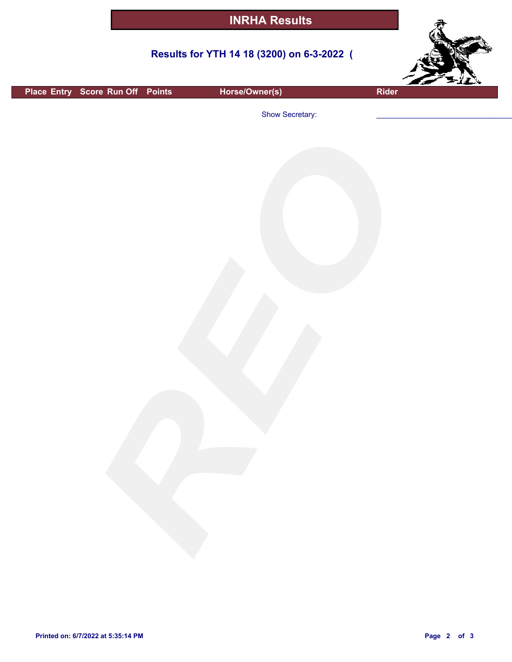#### **Results for YTH 14 18 (3200) on 6-3-2022 (**



**Place Entry Score Run Off Points Horse/Owner(s) Rider**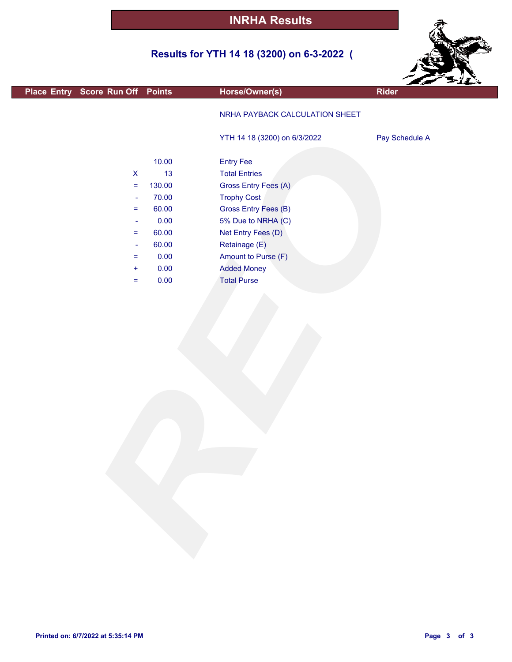## **Results for YTH 14 18 (3200) on 6-3-2022 (**



|                                  |        |                                | $\sim$ $\sim$ $\sim$ |
|----------------------------------|--------|--------------------------------|----------------------|
| Place Entry Score Run Off Points |        | Horse/Owner(s)                 | <b>Rider</b>         |
|                                  |        | NRHA PAYBACK CALCULATION SHEET |                      |
|                                  |        | YTH 14 18 (3200) on 6/3/2022   | Pay Schedule A       |
|                                  | 10.00  | <b>Entry Fee</b>               |                      |
| $\mathsf{X}$                     | 13     | <b>Total Entries</b>           |                      |
| $\equiv$                         | 130.00 | Gross Entry Fees (A)           |                      |
| $\rightarrow$                    | 70.00  | <b>Trophy Cost</b>             |                      |
| $=$                              | 60.00  | Gross Entry Fees (B)           |                      |
| $\blacksquare$                   | 0.00   | 5% Due to NRHA (C)             |                      |
| $\equiv$                         | 60.00  | Net Entry Fees (D)             |                      |
| $\blacksquare$                   | 60.00  | Retainage (E)                  |                      |
| $\equiv$                         | 0.00   | Amount to Purse (F)            |                      |
| $\ddot{}$                        | 0.00   | <b>Added Money</b>             |                      |
| $=$                              | 0.00   | <b>Total Purse</b>             |                      |
|                                  |        |                                |                      |
|                                  |        |                                |                      |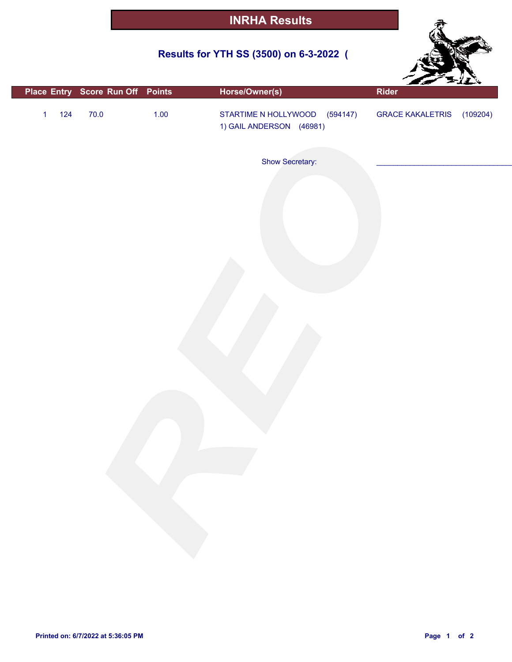## **Results for YTH SS (3500) on 6-3-2022 (**



|              |       |        | Place Entry Score Run Off Points | Horse/Owner(s)                                            | Rider                     |  |
|--------------|-------|--------|----------------------------------|-----------------------------------------------------------|---------------------------|--|
| $\mathbf{1}$ | $124$ | $70.0$ | $1.00$                           | STARTIME N HOLLYWOOD (594147)<br>1) GAIL ANDERSON (46981) | GRACE KAKALETRIS (109204) |  |
|              |       |        |                                  | Show Secretary:                                           |                           |  |
|              |       |        |                                  |                                                           |                           |  |
|              |       |        |                                  |                                                           |                           |  |
|              |       |        |                                  |                                                           |                           |  |
|              |       |        |                                  |                                                           |                           |  |